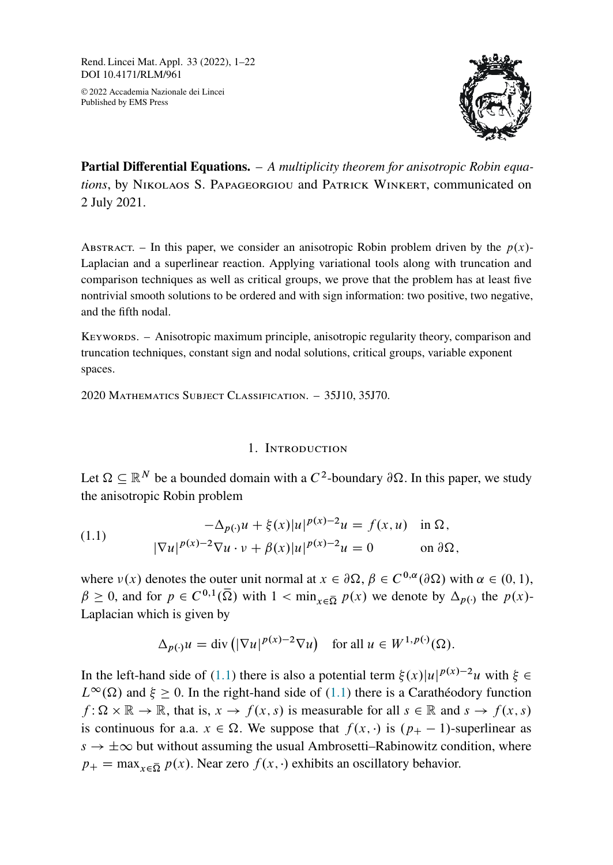Rend. Lincei Mat. Appl. 33 (2022), 1–22 DOI 10.4171/RLM/961

© 2022 Accademia Nazionale dei Lincei Published by EMS Press



**Partial Differential Equations.** – *A multiplicity theorem for anisotropic Robin equations*, by Nikolaos S. Papageorgiou and Patrick Winkert, communicated on 2 July 2021.

ABSTRACT. – In this paper, we consider an anisotropic Robin problem driven by the  $p(x)$ -Laplacian and a superlinear reaction. Applying variational tools along with truncation and comparison techniques as well as critical groups, we prove that the problem has at least five nontrivial smooth solutions to be ordered and with sign information: two positive, two negative, and the fifth nodal.

Keywords. – Anisotropic maximum principle, anisotropic regularity theory, comparison and truncation techniques, constant sign and nodal solutions, critical groups, variable exponent spaces.

2020 Mathematics Subject Classification. – 35J10, 35J70.

### 1. Introduction

Let  $\Omega \subseteq \mathbb{R}^N$  be a bounded domain with a  $C^2$ -boundary  $\partial \Omega$ . In this paper, we study the anisotropic Robin problem

<span id="page-0-0"></span>(1.1) 
$$
-\Delta_{p(\cdot)}u + \xi(x)|u|^{p(x)-2}u = f(x, u) \text{ in } \Omega, |\nabla u|^{p(x)-2}\nabla u \cdot v + \beta(x)|u|^{p(x)-2}u = 0 \text{ on } \partial\Omega,
$$

where  $v(x)$  denotes the outer unit normal at  $x \in \partial\Omega$ ,  $\beta \in C^{0,\alpha}(\partial\Omega)$  with  $\alpha \in (0,1)$ ,  $\beta \geq 0$ , and for  $p \in C^{0,1}(\overline{\Omega})$  with  $1 < \min_{x \in \overline{\Omega}} p(x)$  we denote by  $\Delta_{p(\cdot)}$  the  $p(x)$ -Laplacian which is given by

$$
\Delta_{p(\cdot)} u = \text{div} \left( |\nabla u|^{p(x)-2} \nabla u \right) \quad \text{for all } u \in W^{1,p(\cdot)}(\Omega).
$$

In the left-hand side of [\(1.1\)](#page-0-0) there is also a potential term  $\xi(x)|u|^{p(x)-2}u$  with  $\xi \in$  $L^{\infty}(\Omega)$  and  $\xi > 0$ . In the right-hand side of [\(1.1\)](#page-0-0) there is a Carathéodory function  $f: \Omega \times \mathbb{R} \to \mathbb{R}$ , that is,  $x \to f(x, s)$  is measurable for all  $s \in \mathbb{R}$  and  $s \to f(x, s)$ is continuous for a.a.  $x \in \Omega$ . We suppose that  $f(x, \cdot)$  is  $(p_{+} - 1)$ -superlinear as  $s \to \pm \infty$  but without assuming the usual Ambrosetti–Rabinowitz condition, where  $p_{+} = \max_{x \in \overline{\Omega}} p(x)$ . Near zero  $f(x, \cdot)$  exhibits an oscillatory behavior.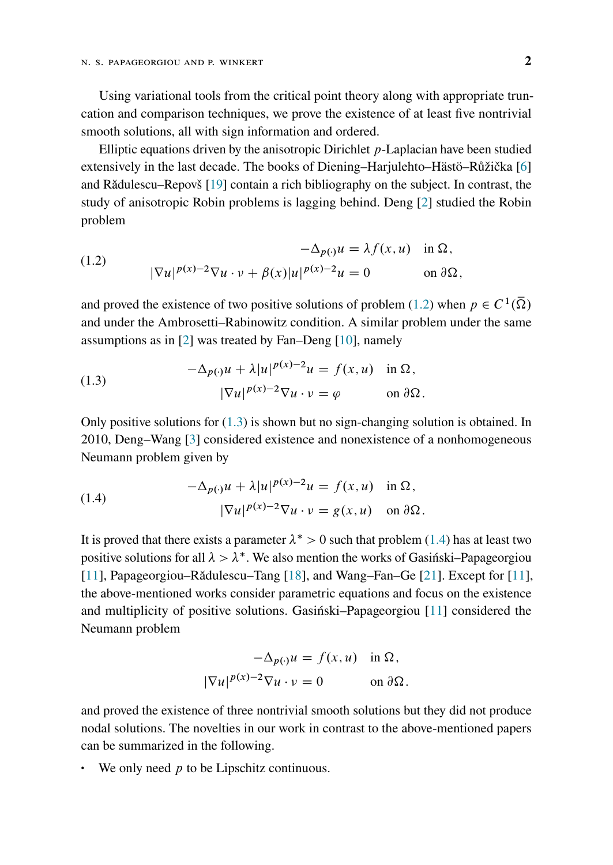Using variational tools from the critical point theory along with appropriate truncation and comparison techniques, we prove the existence of at least five nontrivial smooth solutions, all with sign information and ordered.

Elliptic equations driven by the anisotropic Dirichlet  $p$ -Laplacian have been studied extensively in the last decade. The books of Diening–Harjulehto–Hästö–Růžička [\[6\]](#page-20-0) and Rădulescu–Repovš [\[19\]](#page-21-0) contain a rich bibliography on the subject. In contrast, the study of anisotropic Robin problems is lagging behind. Deng [\[2\]](#page-19-0) studied the Robin problem

<span id="page-1-0"></span>(1.2) 
$$
-\Delta_{p(\cdot)}u = \lambda f(x, u) \text{ in } \Omega,
$$

$$
|\nabla u|^{p(x)-2}\nabla u \cdot v + \beta(x)|u|^{p(x)-2}u = 0 \text{ on } \partial\Omega,
$$

and proved the existence of two positive solutions of problem [\(1.2\)](#page-1-0) when  $p \in C^1(\overline{\Omega})$ and under the Ambrosetti–Rabinowitz condition. A similar problem under the same assumptions as in [\[2\]](#page-19-0) was treated by Fan–Deng [\[10\]](#page-20-1), namely

<span id="page-1-1"></span>(1.3) 
$$
-\Delta_{p(\cdot)}u + \lambda |u|^{p(x)-2}u = f(x, u) \text{ in } \Omega,
$$

$$
|\nabla u|^{p(x)-2}\nabla u \cdot v = \varphi \text{ on } \partial \Omega.
$$

Only positive solutions for  $(1.3)$  is shown but no sign-changing solution is obtained. In 2010, Deng–Wang [\[3\]](#page-19-1) considered existence and nonexistence of a nonhomogeneous Neumann problem given by

<span id="page-1-2"></span>(1.4) 
$$
-\Delta_{p(\cdot)}u + \lambda |u|^{p(x)-2}u = f(x, u) \text{ in } \Omega,
$$

$$
|\nabla u|^{p(x)-2}\nabla u \cdot v = g(x, u) \text{ on } \partial \Omega.
$$

It is proved that there exists a parameter  $\lambda^* > 0$  such that problem [\(1.4\)](#page-1-2) has at least two positive solutions for all  $\lambda > \lambda^*$ . We also mention the works of Gasintski–Papageorgiou [\[11\]](#page-20-2), Papageorgiou–Rădulescu–Tang [\[18\]](#page-20-3), and Wang–Fan–Ge [\[21\]](#page-21-1). Except for [\[11\]](#page-20-2), the above-mentioned works consider parametric equations and focus on the existence and multiplicity of positive solutions. Gasiński–Papageorgiou [\[11\]](#page-20-2) considered the Neumann problem

$$
-\Delta_{p(\cdot)}u = f(x, u) \text{ in } \Omega,
$$
  

$$
|\nabla u|^{p(x)-2}\nabla u \cdot v = 0 \text{ on } \partial\Omega.
$$

and proved the existence of three nontrivial smooth solutions but they did not produce nodal solutions. The novelties in our work in contrast to the above-mentioned papers can be summarized in the following.

• We only need  $p$  to be Lipschitz continuous.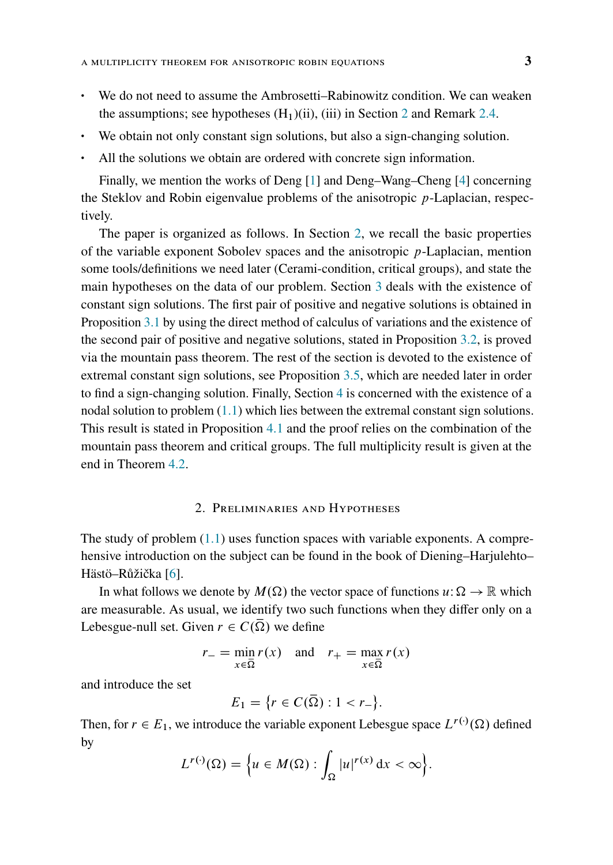- We do not need to assume the Ambrosetti–Rabinowitz condition. We can weaken the assumptions; see hypotheses  $(H_1)(ii)$ , (iii) in Section [2](#page-2-0) and Remark [2.4.](#page-7-0)
- We obtain not only constant sign solutions, but also a sign-changing solution.
- All the solutions we obtain are ordered with concrete sign information.

Finally, we mention the works of Deng [\[1\]](#page-19-2) and Deng–Wang–Cheng [\[4\]](#page-19-3) concerning the Steklov and Robin eigenvalue problems of the anisotropic p-Laplacian, respectively.

The paper is organized as follows. In Section [2,](#page-2-0) we recall the basic properties of the variable exponent Sobolev spaces and the anisotropic  $p$ -Laplacian, mention some tools/definitions we need later (Cerami-condition, critical groups), and state the main hypotheses on the data of our problem. Section [3](#page-8-0) deals with the existence of constant sign solutions. The first pair of positive and negative solutions is obtained in Proposition [3.1](#page-8-1) by using the direct method of calculus of variations and the existence of the second pair of positive and negative solutions, stated in Proposition [3.2,](#page-10-0) is proved via the mountain pass theorem. The rest of the section is devoted to the existence of extremal constant sign solutions, see Proposition [3.5,](#page-16-0) which are needed later in order to find a sign-changing solution. Finally, Section [4](#page-17-0) is concerned with the existence of a nodal solution to problem  $(1.1)$  which lies between the extremal constant sign solutions. This result is stated in Proposition [4.1](#page-17-1) and the proof relies on the combination of the mountain pass theorem and critical groups. The full multiplicity result is given at the end in Theorem [4.2.](#page-19-4)

# 2. Preliminaries and Hypotheses

<span id="page-2-0"></span>The study of problem  $(1.1)$  uses function spaces with variable exponents. A comprehensive introduction on the subject can be found in the book of Diening–Harjulehto– Hästö–Růžička [\[6\]](#page-20-0).

In what follows we denote by  $M(\Omega)$  the vector space of functions  $u : \Omega \to \mathbb{R}$  which are measurable. As usual, we identify two such functions when they differ only on a Lebesgue-null set. Given  $r \in C(\Omega)$  we define

$$
r_{-} = \min_{x \in \overline{\Omega}} r(x) \quad \text{and} \quad r_{+} = \max_{x \in \overline{\Omega}} r(x)
$$

and introduce the set

$$
E_1 = \{r \in C(\overline{\Omega}) : 1 < r_-\}.
$$

Then, for  $r \in E_1$ , we introduce the variable exponent Lebesgue space  $L^{r(\cdot)}(\Omega)$  defined by

$$
L^{r(\cdot)}(\Omega) = \Big\{ u \in M(\Omega) : \int_{\Omega} |u|^{r(x)} dx < \infty \Big\}.
$$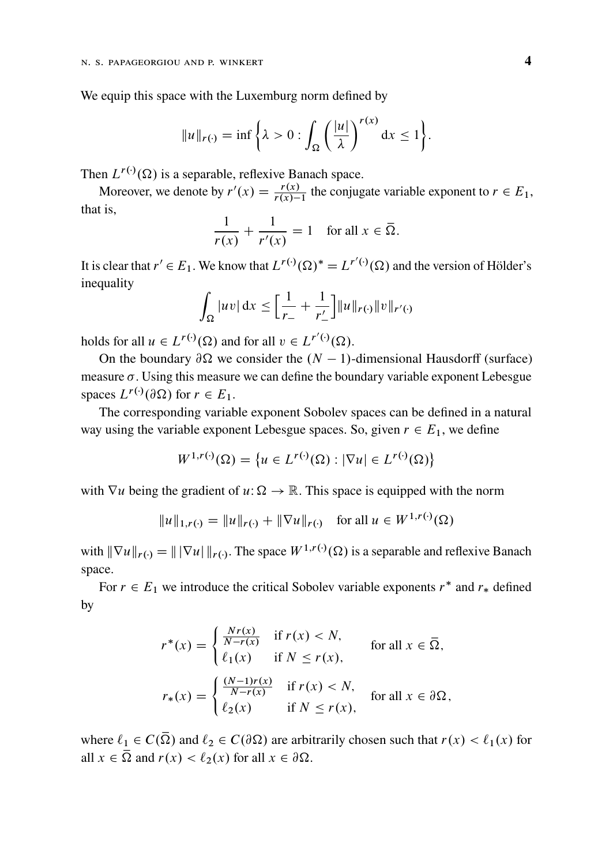We equip this space with the Luxemburg norm defined by

$$
||u||_{r(\cdot)} = \inf \left\{ \lambda > 0 : \int_{\Omega} \left( \frac{|u|}{\lambda} \right)^{r(x)} dx \le 1 \right\}.
$$

Then  $L^{r(\cdot)}(\Omega)$  is a separable, reflexive Banach space.

Moreover, we denote by  $r'(x) = \frac{r(x)}{r(x)-1}$  the conjugate variable exponent to  $r \in E_1$ , that is,

$$
\frac{1}{r(x)} + \frac{1}{r'(x)} = 1 \quad \text{for all } x \in \overline{\Omega}.
$$

It is clear that  $r' \in E_1$ . We know that  $L^{r(\cdot)}(\Omega)^* = L^{r'(\cdot)}(\Omega)$  and the version of Hölder's inequality

$$
\int_{\Omega} |uv| dx \leq \left[ \frac{1}{r_{-}} + \frac{1}{r'_{-}} \right] ||u||_{r(\cdot)} ||v||_{r'(\cdot)}
$$

holds for all  $u \in L^{r(\cdot)}(\Omega)$  and for all  $v \in L^{r'(\cdot)}(\Omega)$ .

On the boundary  $\partial \Omega$  we consider the  $(N - 1)$ -dimensional Hausdorff (surface) measure  $\sigma$ . Using this measure we can define the boundary variable exponent Lebesgue spaces  $L^{r(\cdot)}(\partial \Omega)$  for  $r \in E_1$ .

The corresponding variable exponent Sobolev spaces can be defined in a natural way using the variable exponent Lebesgue spaces. So, given  $r \in E_1$ , we define

$$
W^{1,r(\cdot)}(\Omega) = \{ u \in L^{r(\cdot)}(\Omega) : |\nabla u| \in L^{r(\cdot)}(\Omega) \}
$$

with  $\nabla u$  being the gradient of  $u: \Omega \to \mathbb{R}$ . This space is equipped with the norm

$$
||u||_{1,r(\cdot)} = ||u||_{r(\cdot)} + ||\nabla u||_{r(\cdot)} \quad \text{for all } u \in W^{1,r(\cdot)}(\Omega)
$$

with  $\|\nabla u\|_{r(\cdot)} = \| |\nabla u| \|_{r(\cdot)}$ . The space  $W^{1,r(\cdot)}(\Omega)$  is a separable and reflexive Banach space.

For  $r \in E_1$  we introduce the critical Sobolev variable exponents  $r^*$  and  $r_*$  defined by

$$
r^*(x) = \begin{cases} \frac{Nr(x)}{N-r(x)} & \text{if } r(x) < N, \\ \ell_1(x) & \text{if } N \le r(x), \end{cases} \quad \text{for all } x \in \overline{\Omega},
$$

$$
r_*(x) = \begin{cases} \frac{(N-1)r(x)}{N-r(x)} & \text{if } r(x) < N, \\ \ell_2(x) & \text{if } N \le r(x), \end{cases} \quad \text{for all } x \in \partial\Omega,
$$

where  $\ell_1 \in C(\overline{\Omega})$  and  $\ell_2 \in C(\partial \Omega)$  are arbitrarily chosen such that  $r(x) < \ell_1(x)$  for all  $x \in \overline{\Omega}$  and  $r(x) < l_2(x)$  for all  $x \in \partial \Omega$ .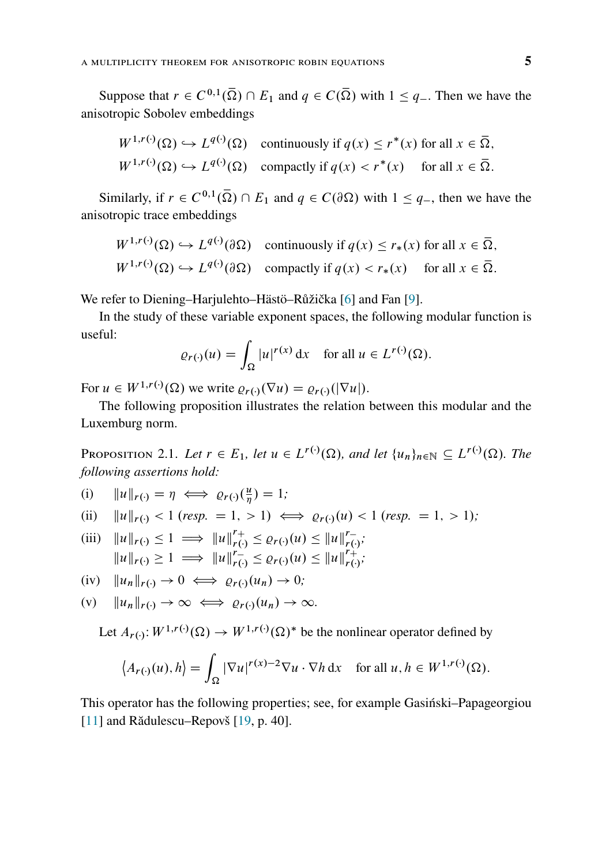Suppose that  $r \in C^{0,1}(\overline{\Omega}) \cap E_1$  and  $q \in C(\overline{\Omega})$  with  $1 \leq q$ . Then we have the anisotropic Sobolev embeddings

$$
W^{1,r(\cdot)}(\Omega) \hookrightarrow L^{q(\cdot)}(\Omega) \quad \text{continuously if } q(x) \le r^*(x) \text{ for all } x \in \overline{\Omega},
$$
  

$$
W^{1,r(\cdot)}(\Omega) \hookrightarrow L^{q(\cdot)}(\Omega) \quad \text{compactly if } q(x) < r^*(x) \quad \text{for all } x \in \overline{\Omega}.
$$

Similarly, if  $r \in C^{0,1}(\overline{\Omega}) \cap E_1$  and  $q \in C(\partial \Omega)$  with  $1 \leq q$ , then we have the anisotropic trace embeddings

$$
W^{1,r(\cdot)}(\Omega) \hookrightarrow L^{q(\cdot)}(\partial \Omega) \quad \text{continuously if } q(x) \le r_*(x) \text{ for all } x \in \overline{\Omega},
$$
  

$$
W^{1,r(\cdot)}(\Omega) \hookrightarrow L^{q(\cdot)}(\partial \Omega) \quad \text{compactly if } q(x) < r_*(x) \quad \text{ for all } x \in \overline{\Omega}.
$$

We refer to Diening–Harjulehto–Hästö–Růžička [\[6\]](#page-20-0) and Fan [\[9\]](#page-20-4).

In the study of these variable exponent spaces, the following modular function is useful:

$$
\varrho_{r(\cdot)}(u) = \int_{\Omega} |u|^{r(x)} \, \mathrm{d}x \quad \text{for all } u \in L^{r(\cdot)}(\Omega).
$$

For  $u \in W^{1,r(\cdot)}(\Omega)$  we write  $\varrho_{r(\cdot)}(\nabla u) = \varrho_{r(\cdot)}(|\nabla u|)$ .

The following proposition illustrates the relation between this modular and the Luxemburg norm.

<span id="page-4-0"></span>PROPOSITION 2.1. Let  $r \in E_1$ , let  $u \in L^{r(\cdot)}(\Omega)$ , and let  $\{u_n\}_{n \in \mathbb{N}} \subseteq L^{r(\cdot)}(\Omega)$ . The *following assertions hold:*

(i)  $||u||_{r(\cdot)} = \eta \iff \varrho_{r(\cdot)}(\frac{u}{\eta}) = 1;$ 

(ii) 
$$
||u||_{r(\cdot)} < 1
$$
 (resp. = 1, > 1)  $\iff$   $\varrho_{r(\cdot)}(u) < 1$  (resp. = 1, > 1);

- (iii)  $||u||_{r(\cdot)} \leq 1 \implies ||u||_{r(\cdot)}^{r+} \leq \varrho_{r(\cdot)}(u) \leq ||u||_{r(\cdot)}^{r-}$  $||u||_{r(\cdot)} \geq 1 \implies ||u||_{r(\cdot)}^{r_{-}} \leq \varrho_{r(\cdot)}(u) \leq ||u||_{r(\cdot)}^{r_{+}}$ ,<br>*r*(·)<sup>;</sup>
- (iv)  $||u_n||_{r(\cdot)} \to 0 \iff \varrho_{r(\cdot)}(u_n) \to 0;$
- (v)  $||u_n||_{r(\cdot)} \to \infty \iff \varrho_{r(\cdot)}(u_n) \to \infty.$

Let  $A_{r(\cdot)}: W^{1,r(\cdot)}(\Omega) \to W^{1,r(\cdot)}(\Omega)^*$  be the nonlinear operator defined by

$$
\langle A_{r(\cdot)}(u), h \rangle = \int_{\Omega} |\nabla u|^{r(x)-2} \nabla u \cdot \nabla h \, dx \quad \text{for all } u, h \in W^{1,r(\cdot)}(\Omega).
$$

This operator has the following properties; see, for example Gasiński–Papageorgiou [\[11\]](#page-20-2) and Rădulescu–Repovš [\[19,](#page-21-0) p. 40].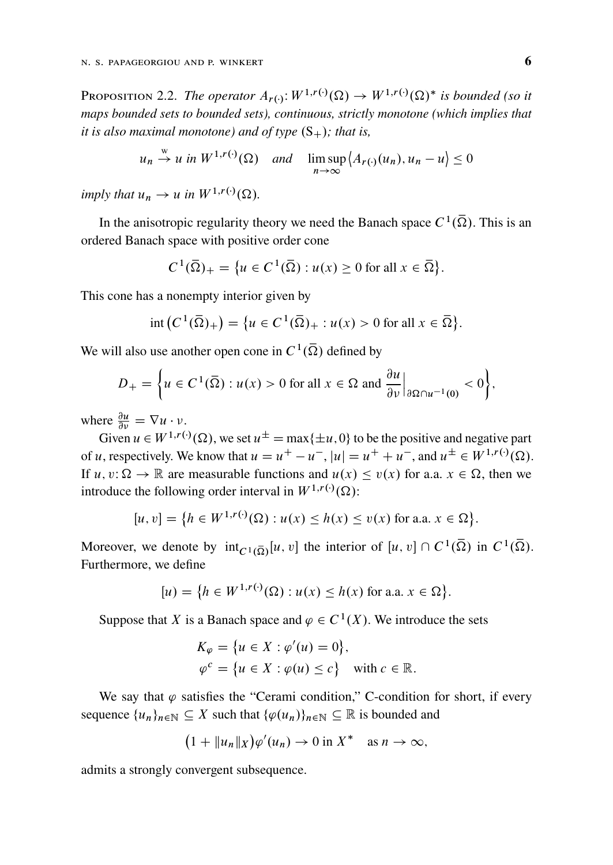<span id="page-5-0"></span>PROPOSITION 2.2. The operator  $A_{r(\cdot)}: W^{1,r(\cdot)}(\Omega) \to W^{1,r(\cdot)}(\Omega)^*$  is bounded (so it *maps bounded sets to bounded sets), continuous, strictly monotone (which implies that it is also maximal monotone) and of type*  $(S_+)$ ; that is,

$$
u_n \stackrel{w}{\rightarrow} u
$$
 in  $W^{1,r(\cdot)}(\Omega)$  and  $\limsup_{n \to \infty} \langle A_{r(\cdot)}(u_n), u_n - u \rangle \le 0$ 

*imply that*  $u_n \to u$  *in*  $W^{1,r(\cdot)}(\Omega)$ *.* 

In the anisotropic regularity theory we need the Banach space  $C^1(\overline{\Omega})$ . This is an ordered Banach space with positive order cone

$$
C^1(\overline{\Omega})_+ = \{ u \in C^1(\overline{\Omega}) : u(x) \ge 0 \text{ for all } x \in \overline{\Omega} \}.
$$

This cone has a nonempty interior given by

$$
int (C^1(\overline{\Omega})_+) = \{ u \in C^1(\overline{\Omega})_+ : u(x) > 0 \text{ for all } x \in \overline{\Omega} \}.
$$

We will also use another open cone in  $C^1(\overline{\Omega})$  defined by

$$
D_{+} = \left\{ u \in C^{1}(\overline{\Omega}) : u(x) > 0 \text{ for all } x \in \Omega \text{ and } \frac{\partial u}{\partial \nu} \Big|_{\partial \Omega \cap u^{-1}(0)} < 0 \right\},\
$$

where  $\frac{\partial u}{\partial v} = \nabla u \cdot v$ .

Given  $u \in W^{1,r(\cdot)}(\Omega)$ , we set  $u^{\pm} = \max\{\pm u, 0\}$  to be the positive and negative part of u, respectively. We know that  $u = u^+ - u^-$ ,  $|u| = u^+ + u^-$ , and  $u^{\pm} \in W^{1,r(\cdot)}(\Omega)$ . If  $u, v: \Omega \to \mathbb{R}$  are measurable functions and  $u(x) \le v(x)$  for a.a.  $x \in \Omega$ , then we introduce the following order interval in  $W^{1,r(\cdot)}(\Omega)$ :

$$
[u, v] = \{ h \in W^{1, r(\cdot)}(\Omega) : u(x) \le h(x) \le v(x) \text{ for a.a. } x \in \Omega \}.
$$

Moreover, we denote by  $int_{C^1(\overline{\Omega})}[u, v]$  the interior of  $[u, v] \cap C^1(\overline{\Omega})$  in  $C^1(\overline{\Omega})$ . Furthermore, we define

$$
[u] = \{ h \in W^{1,r(\cdot)}(\Omega) : u(x) \le h(x) \text{ for a.a. } x \in \Omega \}.
$$

Suppose that X is a Banach space and  $\varphi \in C^1(X)$ . We introduce the sets

$$
K_{\varphi} = \{u \in X : \varphi'(u) = 0\},\
$$
  

$$
\varphi^{c} = \{u \in X : \varphi(u) \le c\} \quad \text{with } c \in \mathbb{R}.
$$

We say that  $\varphi$  satisfies the "Cerami condition," C-condition for short, if every sequence  $\{u_n\}_{n\in\mathbb{N}}\subseteq X$  such that  $\{\varphi(u_n)\}_{n\in\mathbb{N}}\subseteq \mathbb{R}$  is bounded and

$$
(1 + \|u_n\|_X)\varphi'(u_n) \to 0 \text{ in } X^* \quad \text{as } n \to \infty,
$$

admits a strongly convergent subsequence.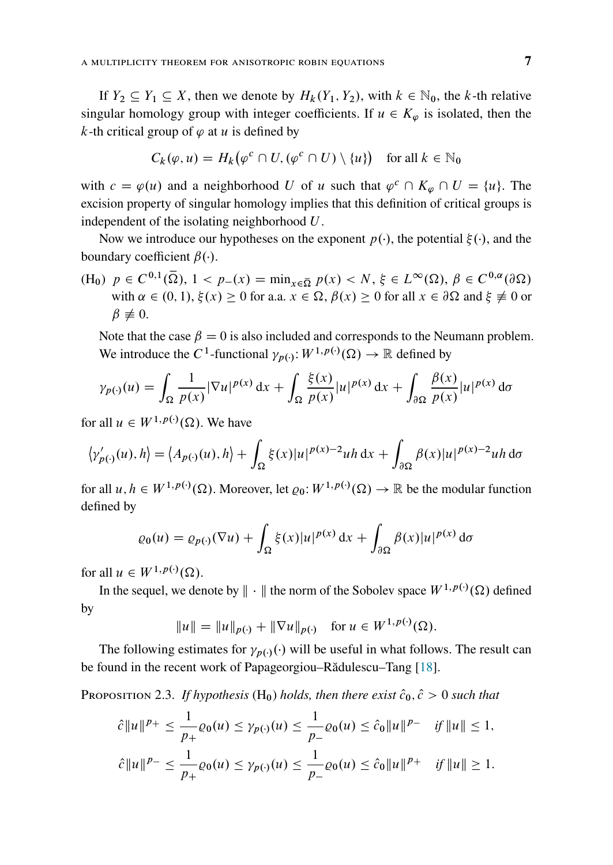If  $Y_2 \subseteq Y_1 \subseteq X$ , then we denote by  $H_k(Y_1, Y_2)$ , with  $k \in \mathbb{N}_0$ , the k-th relative singular homology group with integer coefficients. If  $u \in K_{\varphi}$  is isolated, then the k-th critical group of  $\varphi$  at u is defined by

$$
C_k(\varphi, u) = H_k(\varphi^c \cap U, (\varphi^c \cap U) \setminus \{u\}) \quad \text{for all } k \in \mathbb{N}_0
$$

with  $c = \varphi(u)$  and a neighborhood U of u such that  $\varphi^c \cap K_{\varphi} \cap U = \{u\}$ . The excision property of singular homology implies that this definition of critical groups is independent of the isolating neighborhood U.

Now we introduce our hypotheses on the exponent  $p(\cdot)$ , the potential  $\xi(\cdot)$ , and the boundary coefficient  $\beta(\cdot)$ .

(H<sub>0</sub>)  $p \in C^{0,1}(\overline{\Omega})$ ,  $1 < p_-(x) = \min_{x \in \overline{\Omega}} p(x) < N$ ,  $\xi \in L^{\infty}(\Omega)$ ,  $\beta \in C^{0,\alpha}(\partial \Omega)$ with  $\alpha \in (0, 1), \xi(x) \ge 0$  for a.a.  $x \in \Omega, \beta(x) \ge 0$  for all  $x \in \partial \Omega$  and  $\xi \ne 0$  or  $\beta \not\equiv 0.$ 

Note that the case  $\beta = 0$  is also included and corresponds to the Neumann problem. We introduce the C<sup>1</sup>-functional  $\gamma_{p(\cdot)}: W^{1,p(\cdot)}(\Omega) \to \mathbb{R}$  defined by

$$
\gamma_{p(\cdot)}(u) = \int_{\Omega} \frac{1}{p(x)} |\nabla u|^{p(x)} dx + \int_{\Omega} \frac{\xi(x)}{p(x)} |u|^{p(x)} dx + \int_{\partial \Omega} \frac{\beta(x)}{p(x)} |u|^{p(x)} d\sigma
$$

for all  $u \in W^{1,p(\cdot)}(\Omega)$ . We have

$$
\langle \gamma'_{p(\cdot)}(u), h \rangle = \langle A_{p(\cdot)}(u), h \rangle + \int_{\Omega} \xi(x) |u|^{p(x)-2} u h \, dx + \int_{\partial \Omega} \beta(x) |u|^{p(x)-2} u h \, d\sigma
$$

for all  $u, h \in W^{1,p(\cdot)}(\Omega)$ . Moreover, let  $\varrho_0: W^{1,p(\cdot)}(\Omega) \to \mathbb{R}$  be the modular function defined by

$$
\varrho_0(u) = \varrho_{p(\cdot)}(\nabla u) + \int_{\Omega} \xi(x)|u|^{p(x)} dx + \int_{\partial\Omega} \beta(x)|u|^{p(x)} d\sigma
$$

for all  $u \in W^{1,p(\cdot)}(\Omega)$ .

In the sequel, we denote by  $\|\cdot\|$  the norm of the Sobolev space  $W^{1,p(\cdot)}(\Omega)$  defined by

$$
||u|| = ||u||_{p(\cdot)} + ||\nabla u||_{p(\cdot)} \text{ for } u \in W^{1, p(\cdot)}(\Omega).
$$

The following estimates for  $\gamma_{p(\cdot)}(\cdot)$  will be useful in what follows. The result can be found in the recent work of Papageorgiou–Rădulescu–Tang [\[18\]](#page-20-3).

<span id="page-6-0"></span>PROPOSITION 2.3. *If hypothesis* (H<sub>0</sub>) *holds, then there exist*  $\hat{c}_0$ ,  $\hat{c} > 0$  *such that* 

$$
\hat{c}||u||^{p_{+}} \leq \frac{1}{p_{+}}\varrho_{0}(u) \leq \gamma_{p(\cdot)}(u) \leq \frac{1}{p_{-}}\varrho_{0}(u) \leq \hat{c}_{0}||u||^{p_{-}} \quad \text{if } ||u|| \leq 1,
$$
  

$$
\hat{c}||u||^{p_{-}} \leq \frac{1}{p_{+}}\varrho_{0}(u) \leq \gamma_{p(\cdot)}(u) \leq \frac{1}{p_{-}}\varrho_{0}(u) \leq \hat{c}_{0}||u||^{p_{+}} \quad \text{if } ||u|| \geq 1.
$$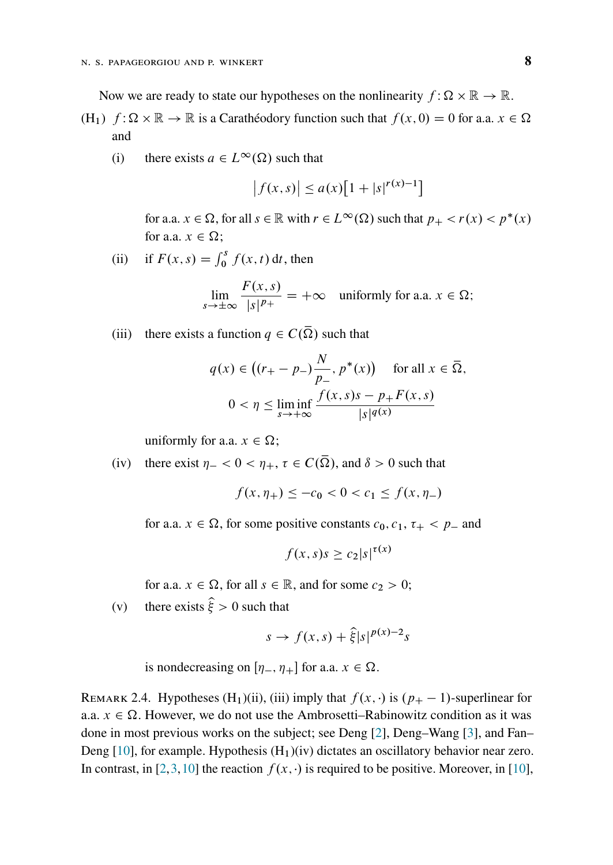Now we are ready to state our hypotheses on the nonlinearity  $f : \Omega \times \mathbb{R} \to \mathbb{R}$ .

- (H<sub>1</sub>)  $f: \Omega \times \mathbb{R} \to \mathbb{R}$  is a Caratheodory function such that  $f(x, 0) = 0$  for a.a.  $x \in \Omega$ and
	- (i) there exists  $a \in L^{\infty}(\Omega)$  such that

$$
|f(x, s)| \le a(x)[1 + |s|^{r(x)-1}]
$$

for a.a.  $x \in \Omega$ , for all  $s \in \mathbb{R}$  with  $r \in L^{\infty}(\Omega)$  such that  $p_{+} < r(x) < p^{*}(x)$ for a.a.  $x \in \Omega$ ;

(ii) if  $F(x, s) = \int_0^s f(x, t) dt$ , then

$$
\lim_{s \to \pm \infty} \frac{F(x, s)}{|s|^{p_+}} = +\infty \quad \text{uniformly for a.a. } x \in \Omega;
$$

(iii) there exists a function  $q \in C(\overline{\Omega})$  such that

$$
q(x) \in \left( (r_+ - p_-) \frac{N}{p_-}, p^*(x) \right) \quad \text{for all } x \in \overline{\Omega},
$$
  

$$
0 < \eta \le \liminf_{s \to +\infty} \frac{f(x, s)s - p_+ F(x, s)}{|s|^{q(x)}}
$$

uniformly for a.a.  $x \in \Omega$ ;

(iv) there exist  $\eta_- < 0 < \eta_+$ ,  $\tau \in C(\overline{\Omega})$ , and  $\delta > 0$  such that

$$
f(x, \eta_+) \le -c_0 < 0 < c_1 \le f(x, \eta_-)
$$

for a.a.  $x \in \Omega$ , for some positive constants  $c_0, c_1, \tau_+ < p_-$  and

$$
f(x, s)s \ge c_2|s|^{\tau(x)}
$$

for a.a.  $x \in \Omega$ , for all  $s \in \mathbb{R}$ , and for some  $c_2 > 0$ ;

(v) there exists  $\hat{\xi} > 0$  such that

$$
s \to f(x, s) + \hat{\xi}|s|^{p(x)-2}s
$$

is nondecreasing on  $[\eta_-, \eta_+]$  for a.a.  $x \in \Omega$ .

<span id="page-7-0"></span>REMARK 2.4. Hypotheses (H<sub>1</sub>)(ii), (iii) imply that  $f(x, \cdot)$  is  $(p_{+} - 1)$ -superlinear for a.a.  $x \in \Omega$ . However, we do not use the Ambrosetti–Rabinowitz condition as it was done in most previous works on the subject; see Deng [\[2\]](#page-19-0), Deng–Wang [\[3\]](#page-19-1), and Fan– Deng  $[10]$ , for example. Hypothesis  $(H_1)(iv)$  dictates an oscillatory behavior near zero. In contrast, in [\[2,](#page-19-0)[3,](#page-19-1)[10\]](#page-20-1) the reaction  $f(x, \cdot)$  is required to be positive. Moreover, in [\[10\]](#page-20-1),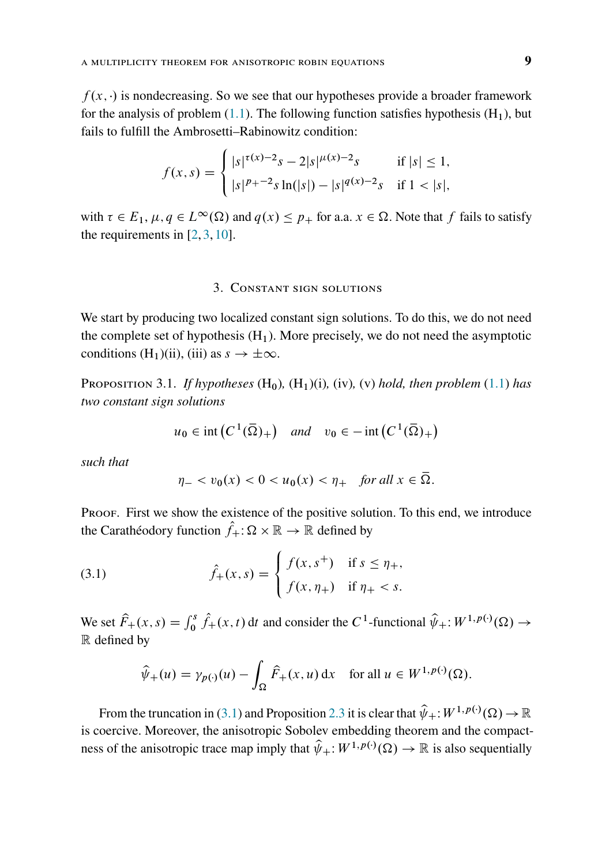$f(x, \cdot)$  is nondecreasing. So we see that our hypotheses provide a broader framework for the analysis of problem  $(1.1)$ . The following function satisfies hypothesis  $(H_1)$ , but fails to fulfill the Ambrosetti–Rabinowitz condition:

$$
f(x,s) = \begin{cases} |s|^{\tau(x)-2} s - 2|s|^{\mu(x)-2} s & \text{if } |s| \le 1, \\ |s|^{p_{+}-2} s \ln(|s|) - |s|^{q(x)-2} s & \text{if } 1 < |s|, \end{cases}
$$

with  $\tau \in E_1$ ,  $\mu, q \in L^{\infty}(\Omega)$  and  $q(x) \leq p_+$  for a.a.  $x \in \Omega$ . Note that f fails to satisfy the requirements in [\[2,](#page-19-0) [3,](#page-19-1) [10\]](#page-20-1).

#### 3. Constant sign solutions

<span id="page-8-0"></span>We start by producing two localized constant sign solutions. To do this, we do not need the complete set of hypothesis  $(H_1)$ . More precisely, we do not need the asymptotic conditions (H<sub>1</sub>)(ii), (iii) as  $s \to \pm \infty$ .

<span id="page-8-1"></span>Proposition 3.1. *If hypotheses*  $(H_0)$ ,  $(H_1)(i)$ ,  $(iv)$ ,  $(v)$  *hold, then problem* [\(1.1\)](#page-0-0) *has two constant sign solutions*

$$
u_0 \in \text{int}\left(C^1(\overline{\Omega})_+\right) \quad \text{and} \quad v_0 \in -\text{int}\left(C^1(\overline{\Omega})_+\right)
$$

*such that*

<span id="page-8-2"></span>
$$
\eta_- < v_0(x) < 0 < u_0(x) < \eta_+ \quad \text{for all } x \in \overline{\Omega}.
$$

PROOF. First we show the existence of the positive solution. To this end, we introduce the Carathéodory function  $\hat{f}_+ : \Omega \times \mathbb{R} \to \mathbb{R}$  defined by

(3.1) 
$$
\hat{f}_{+}(x,s) = \begin{cases} f(x,s^{+}) & \text{if } s \leq \eta_{+}, \\ f(x,\eta_{+}) & \text{if } \eta_{+} < s. \end{cases}
$$

We set  $\hat{F}_+(x,s) = \int_0^s \hat{f}_+(x,t) dt$  and consider the C<sup>1</sup>-functional  $\hat{\psi}_+$ :  $W^{1,p(\cdot)}(\Omega) \to$ R defined by

$$
\widehat{\psi}_+(u) = \gamma_{p(\cdot)}(u) - \int_{\Omega} \widehat{F}_+(x, u) \, \mathrm{d}x \quad \text{for all } u \in W^{1, p(\cdot)}(\Omega).
$$

From the truncation in [\(3.1\)](#page-8-2) and Proposition [2.3](#page-6-0) it is clear that  $\hat{\psi}_+$ :  $W^{1,p(\cdot)}(\Omega) \to \mathbb{R}$ is coercive. Moreover, the anisotropic Sobolev embedding theorem and the compactness of the anisotropic trace map imply that  $\hat{\psi}_+$ :  $W^{1,p(\cdot)}(\Omega) \to \mathbb{R}$  is also sequentially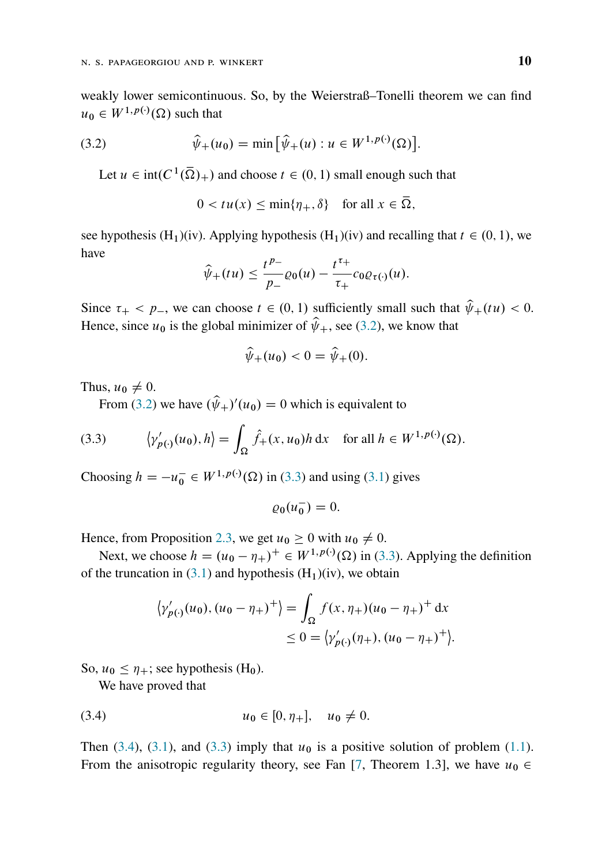weakly lower semicontinuous. So, by the Weierstraß–Tonelli theorem we can find  $u_0 \in W^{1,p(\cdot)}(\Omega)$  such that

(3.2) 
$$
\hat{\psi}_{+}(u_{0}) = \min \left[ \hat{\psi}_{+}(u) : u \in W^{1, p(\cdot)}(\Omega) \right].
$$

Let  $u \in \text{int}(C^1(\overline{\Omega})_+)$  and choose  $t \in (0, 1)$  small enough such that

<span id="page-9-0"></span>
$$
0 < t u(x) \le \min\{\eta_+, \delta\} \quad \text{for all } x \in \overline{\Omega},
$$

see hypothesis  $(H_1)(iv)$ . Applying hypothesis  $(H_1)(iv)$  and recalling that  $t \in (0, 1)$ , we have

$$
\widehat{\psi}_+(tu) \leq \frac{t^{p_-}}{p_-} \varrho_0(u) - \frac{t^{\tau_+}}{\tau_+} c_0 \varrho_{\tau(\cdot)}(u).
$$

Since  $\tau_+ < p_-,$  we can choose  $t \in (0, 1)$  sufficiently small such that  $\hat{\psi}_+(t u) < 0$ . Hence, since  $u_0$  is the global minimizer of  $\hat{\psi}_+$ , see [\(3.2\)](#page-9-0), we know that

$$
\hat{\psi}_+(u_0) < 0 = \hat{\psi}_+(0).
$$

Thus,  $u_0 \neq 0$ .

<span id="page-9-1"></span>From [\(3.2\)](#page-9-0) we have  $(\hat{\psi}_+)'(u_0) = 0$  which is equivalent to

(3.3) 
$$
\langle \gamma'_{p(\cdot)}(u_0), h \rangle = \int_{\Omega} \hat{f}_+(x, u_0) h \, dx \quad \text{for all } h \in W^{1, p(\cdot)}(\Omega).
$$

Choosing  $h = -u_0^- \in W^{1,p(\cdot)}(\Omega)$  in [\(3.3\)](#page-9-1) and using [\(3.1\)](#page-8-2) gives

$$
\varrho_0(u_0^-)=0.
$$

Hence, from Proposition [2.3,](#page-6-0) we get  $u_0 \ge 0$  with  $u_0 \ne 0$ .

Next, we choose  $h = (u_0 - \eta_+)^\perp \in W^{1,p(\cdot)}(\Omega)$  in [\(3.3\)](#page-9-1). Applying the definition of the truncation in  $(3.1)$  and hypothesis  $(H_1)(iv)$ , we obtain

<span id="page-9-2"></span>
$$
\langle \gamma'_{p(\cdot)}(u_0), (u_0 - \eta_+)^\dagger \rangle = \int_{\Omega} f(x, \eta_+) (u_0 - \eta_+)^\dagger dx
$$
  
\n
$$
\leq 0 = \langle \gamma'_{p(\cdot)}(\eta_+), (u_0 - \eta_+)^\dagger \rangle.
$$

So,  $u_0 \leq \eta_+$ ; see hypothesis (H<sub>0</sub>).

We have proved that

(3.4) 
$$
u_0 \in [0, \eta_+], \quad u_0 \neq 0.
$$

Then [\(3.4\)](#page-9-2), [\(3.1\)](#page-8-2), and [\(3.3\)](#page-9-1) imply that  $u_0$  is a positive solution of problem [\(1.1\)](#page-0-0). From the anisotropic regularity theory, see Fan [\[7,](#page-20-5) Theorem 1.3], we have  $u_0 \in$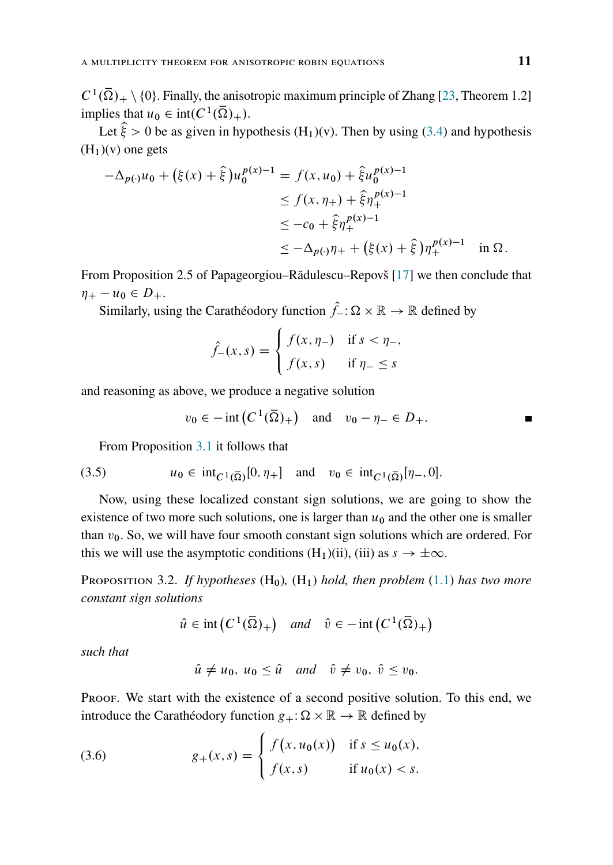$C^1(\overline{\Omega})_+ \setminus \{0\}$ . Finally, the anisotropic maximum principle of Zhang [\[23,](#page-21-2) Theorem 1.2] implies that  $u_0 \in \text{int}(C^1(\overline{\Omega})_+).$ 

Let  $\hat{\xi} > 0$  be as given in hypothesis  $(H_1)(v)$ . Then by using [\(3.4\)](#page-9-2) and hypothesis  $(H<sub>1</sub>)(v)$  one gets

$$
-\Delta_{p(\cdot)}u_0 + (\xi(x) + \hat{\xi})u_0^{p(x)-1} = f(x, u_0) + \hat{\xi}u_0^{p(x)-1}
$$
  
\n
$$
\leq f(x, \eta_+) + \hat{\xi}\eta_+^{p(x)-1}
$$
  
\n
$$
\leq -c_0 + \hat{\xi}\eta_+^{p(x)-1}
$$
  
\n
$$
\leq -\Delta_{p(\cdot)}\eta_+ + (\xi(x) + \hat{\xi})\eta_+^{p(x)-1} \quad \text{in } \Omega.
$$

From Proposition 2.5 of Papageorgiou–Rădulescu–Repovš [\[17\]](#page-20-6) we then conclude that  $\eta_+ - u_0 \in D_+.$ 

Similarly, using the Carathéodory function  $\hat{f}_- : \Omega \times \mathbb{R} \to \mathbb{R}$  defined by

$$
\hat{f}_{-}(x,s) = \begin{cases} f(x,\eta_{-}) & \text{if } s < \eta_{-}, \\ f(x,s) & \text{if } \eta_{-} \le s \end{cases}
$$

and reasoning as above, we produce a negative solution

<span id="page-10-2"></span>
$$
v_0 \in -\operatorname{int} (C^1(\overline{\Omega})_+)
$$
 and  $v_0 - \eta_- \in D_+.$ 

From Proposition [3.1](#page-8-1) it follows that

(3.5) 
$$
u_0 \in \text{int}_{C^1(\overline{\Omega})}[0, \eta_+] \text{ and } v_0 \in \text{int}_{C^1(\overline{\Omega})}[\eta_-, 0].
$$

Now, using these localized constant sign solutions, we are going to show the existence of two more such solutions, one is larger than  $u_0$  and the other one is smaller than  $v_0$ . So, we will have four smooth constant sign solutions which are ordered. For this we will use the asymptotic conditions  $(H_1)(ii)$ , (iii) as  $s \to \pm \infty$ .

<span id="page-10-0"></span>PROPOSITION 3.2. *If hypotheses*  $(H_0)$ ,  $(H_1)$  *hold, then problem*  $(1.1)$  *has two more constant sign solutions*

$$
\hat{u} \in \text{int}\left(C^1(\overline{\Omega})_+\right) \quad \text{and} \quad \hat{v} \in -\text{int}\left(C^1(\overline{\Omega})_+\right)
$$

*such that*

<span id="page-10-1"></span>
$$
\hat{u} \neq u_0
$$
,  $u_0 \leq \hat{u}$  and  $\hat{v} \neq v_0$ ,  $\hat{v} \leq v_0$ .

Proof. We start with the existence of a second positive solution. To this end, we introduce the Carathéodory function  $g_+ : \Omega \times \mathbb{R} \to \mathbb{R}$  defined by

(3.6) 
$$
g_{+}(x, s) = \begin{cases} f(x, u_{0}(x)) & \text{if } s \leq u_{0}(x), \\ f(x, s) & \text{if } u_{0}(x) < s. \end{cases}
$$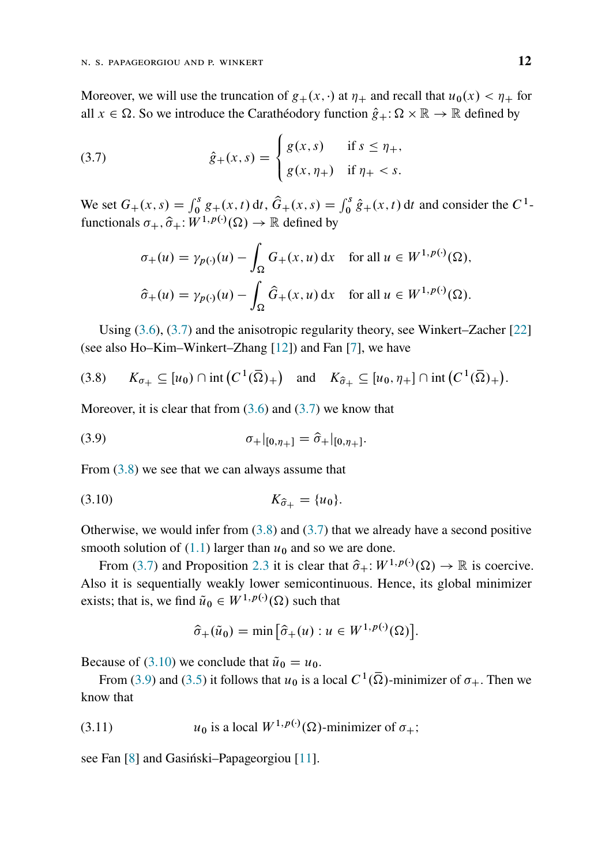Moreover, we will use the truncation of  $g_+(x, \cdot)$  at  $\eta_+$  and recall that  $u_0(x) < \eta_+$  for all  $x \in \Omega$ . So we introduce the Carathéodory function  $\hat{g}_+ : \Omega \times \mathbb{R} \to \mathbb{R}$  defined by

(3.7) 
$$
\hat{g}_{+}(x, s) = \begin{cases} g(x, s) & \text{if } s \leq \eta_{+}, \\ g(x, \eta_{+}) & \text{if } \eta_{+} < s. \end{cases}
$$

We set  $G_+(x, s) = \int_0^s g_+(x, t) dt$ ,  $\hat{G}_+(x, s) = \int_0^s \hat{g}_+(x, t) dt$  and consider the  $C^1$ functionals  $\sigma_+$ ,  $\hat{\sigma}_+$ :  $W^{1,p(\cdot)}(\Omega) \to \mathbb{R}$  defined by

<span id="page-11-0"></span>
$$
\sigma_+(u) = \gamma_{p(\cdot)}(u) - \int_{\Omega} G_+(x, u) dx \quad \text{for all } u \in W^{1, p(\cdot)}(\Omega),
$$
  

$$
\hat{\sigma}_+(u) = \gamma_{p(\cdot)}(u) - \int_{\Omega} \hat{G}_+(x, u) dx \quad \text{for all } u \in W^{1, p(\cdot)}(\Omega).
$$

Using [\(3.6\)](#page-10-1), [\(3.7\)](#page-11-0) and the anisotropic regularity theory, see Winkert–Zacher [\[22\]](#page-21-3) (see also Ho–Kim–Winkert–Zhang [\[12\]](#page-20-7)) and Fan [\[7\]](#page-20-5), we have

<span id="page-11-1"></span>
$$
(3.8) \qquad K_{\sigma_+} \subseteq [u_0) \cap \mathrm{int}\left(C^1(\overline{\Omega})_+\right) \quad \mathrm{and} \quad K_{\widehat{\sigma}_+} \subseteq [u_0, \eta_+] \cap \mathrm{int}\left(C^1(\overline{\Omega})_+\right).
$$

Moreover, it is clear that from  $(3.6)$  and  $(3.7)$  we know that

<span id="page-11-3"></span>(3.9) 
$$
\sigma_{+}|_{[0,\eta_{+}]} = \hat{\sigma}_{+}|_{[0,\eta_{+}]}.
$$

From [\(3.8\)](#page-11-1) we see that we can always assume that

(3.10) 
$$
K_{\hat{\sigma}_+} = \{u_0\}.
$$

Otherwise, we would infer from  $(3.8)$  and  $(3.7)$  that we already have a second positive smooth solution of [\(1.1\)](#page-0-0) larger than  $u_0$  and so we are done.

From [\(3.7\)](#page-11-0) and Proposition [2.3](#page-6-0) it is clear that  $\hat{\sigma}_+$ :  $W^{1,p(\cdot)}(\Omega) \to \mathbb{R}$  is coercive. Also it is sequentially weakly lower semicontinuous. Hence, its global minimizer exists; that is, we find  $\tilde{u}_0 \in W^{1,p(\cdot)}(\Omega)$  such that

<span id="page-11-4"></span><span id="page-11-2"></span>
$$
\widehat{\sigma}_{+}(\widetilde{u}_{0}) = \min \left[ \widehat{\sigma}_{+}(u) : u \in W^{1, p(\cdot)}(\Omega) \right].
$$

Because of [\(3.10\)](#page-11-2) we conclude that  $\tilde{u}_0 = u_0$ .

From [\(3.9\)](#page-11-3) and [\(3.5\)](#page-10-2) it follows that  $u_0$  is a local  $C^1(\overline{\Omega})$ -minimizer of  $\sigma_+$ . Then we know that

(3.11)  $u_0$  is a local  $W^{1,p(\cdot)}(\Omega)$ -minimizer of  $\sigma_+$ ;

see Fan [\[8\]](#page-20-8) and Gasiński–Papageorgiou [\[11\]](#page-20-2).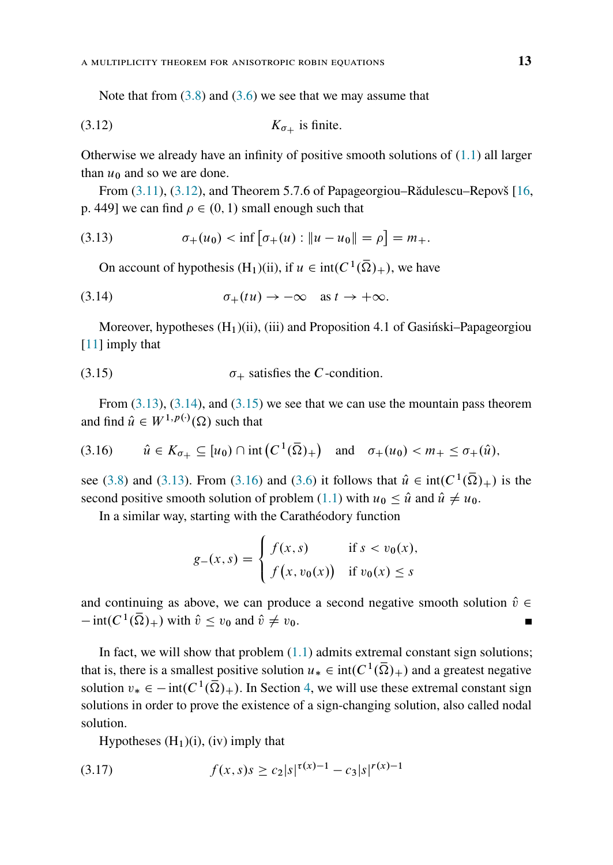<span id="page-12-0"></span>Note that from  $(3.8)$  and  $(3.6)$  we see that we may assume that

$$
(3.12) \t K_{\sigma_{+}} \t is finite.
$$

Otherwise we already have an infinity of positive smooth solutions of  $(1.1)$  all larger than  $u_0$  and so we are done.

From [\(3.11\)](#page-11-4), [\(3.12\)](#page-12-0), and Theorem 5.7.6 of Papageorgiou–Rădulescu–Repovš [\[16,](#page-20-9) p. 449] we can find  $\rho \in (0, 1)$  small enough such that

(3.13) 
$$
\sigma_+(u_0) < \inf \left[ \sigma_+(u) : \|u - u_0\| = \rho \right] = m_+.
$$

<span id="page-12-2"></span><span id="page-12-1"></span>On account of hypothesis  $(H_1)(ii)$ , if  $u \in \text{int}(C^1(\overline{\Omega})_+)$ , we have

(3.14) 
$$
\sigma_+(tu) \to -\infty \quad \text{as } t \to +\infty.
$$

Moreover, hypotheses  $(H_1)(ii)$ , (iii) and Proposition 4.1 of Gasiński–Papageorgiou [\[11\]](#page-20-2) imply that

<span id="page-12-3"></span>(3.15) 
$$
\sigma_{+}
$$
 satisfies the C-condition.

From  $(3.13)$ ,  $(3.14)$ , and  $(3.15)$  we see that we can use the mountain pass theorem and find  $\hat{u} \in W^{1,p(\cdot)}(\Omega)$  such that

<span id="page-12-4"></span>
$$
(3.16) \qquad \hat{u} \in K_{\sigma_+} \subseteq [u_0) \cap \operatorname{int} \left( C^1(\overline{\Omega})_+ \right) \quad \text{and} \quad \sigma_+(u_0) < m_+ \leq \sigma_+(\hat{u}),
$$

see [\(3.8\)](#page-11-1) and [\(3.13\)](#page-12-1). From [\(3.16\)](#page-12-4) and [\(3.6\)](#page-10-1) it follows that  $\hat{u} \in \text{int}(C^1(\overline{\Omega})_+)$  is the second positive smooth solution of problem [\(1.1\)](#page-0-0) with  $u_0 \leq \hat{u}$  and  $\hat{u} \neq u_0$ .

In a similar way, starting with the Carathéodory function

$$
g_{-}(x,s) = \begin{cases} f(x,s) & \text{if } s < v_{0}(x), \\ f(x,v_{0}(x)) & \text{if } v_{0}(x) \leq s \end{cases}
$$

and continuing as above, we can produce a second negative smooth solution  $\hat{v} \in$  $\overline{\text{int}(C^1(\bar{\Omega})_+)}$  with  $\hat{v} \le v_0$  and  $\hat{v} \ne v_0$ .  $\blacksquare$ 

In fact, we will show that problem  $(1.1)$  admits extremal constant sign solutions; that is, there is a smallest positive solution  $u_* \in \text{int}(C^1(\overline{\Omega})_+)$  and a greatest negative solution  $v_* \in -\text{int}(C^1(\overline{\Omega})_+)$ . In Section [4,](#page-17-0) we will use these extremal constant sign solutions in order to prove the existence of a sign-changing solution, also called nodal solution.

<span id="page-12-5"></span>Hypotheses  $(H_1)(i)$ , (iv) imply that

(3.17) 
$$
f(x,s)s \geq c_2|s|^{\tau(x)-1} - c_3|s|^{\tau(x)-1}
$$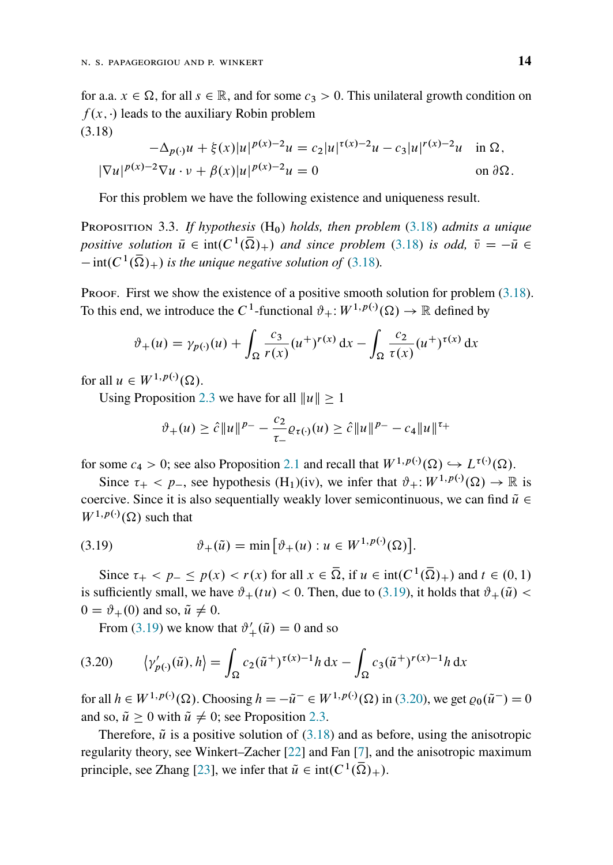for a.a.  $x \in \Omega$ , for all  $s \in \mathbb{R}$ , and for some  $c_3 > 0$ . This unilateral growth condition on  $f(x, \cdot)$  leads to the auxiliary Robin problem (3.18)

<span id="page-13-0"></span>
$$
-\Delta_{p(\cdot)}u + \xi(x)|u|^{p(x)-2}u = c_2|u|^{\tau(x)-2}u - c_3|u|^{r(x)-2}u \text{ in } \Omega,
$$
  

$$
|\nabla u|^{p(x)-2}\nabla u \cdot v + \beta(x)|u|^{p(x)-2}u = 0 \text{ on } \partial\Omega.
$$

For this problem we have the following existence and uniqueness result.

<span id="page-13-3"></span>Proposition 3.3. *If hypothesis* (H0) *holds, then problem* [\(3.18\)](#page-13-0) *admits a unique* positive solution  $\bar{u} \in \text{int}(C^1(\bar{\Omega})_+)$  and since problem [\(3.18\)](#page-13-0) is odd,  $\bar{v} = -\bar{u} \in$  $\int -\text{int}(C^1(\overline{\Omega})_+)$  is the unique negative solution of [\(3.18\)](#page-13-0).

Proof. First we show the existence of a positive smooth solution for problem  $(3.18)$ . To this end, we introduce the C<sup>1</sup>-functional  $\vartheta_+$ :  $W^{1,p(\cdot)}(\Omega) \to \mathbb{R}$  defined by

$$
\vartheta_+(u) = \gamma_{p(\cdot)}(u) + \int_{\Omega} \frac{c_3}{r(x)} (u^+)^{r(x)} dx - \int_{\Omega} \frac{c_2}{\tau(x)} (u^+)^{\tau(x)} dx
$$

for all  $u \in W^{1,p(\cdot)}(\Omega)$ .

Using Proposition [2.3](#page-6-0) we have for all  $||u|| \ge 1$ 

$$
\vartheta_{+}(u) \geq \hat{c} \|u\|^{p-} - \frac{c_2}{\tau_{-}} \varrho_{\tau(\cdot)}(u) \geq \hat{c} \|u\|^{p-} - c_4 \|u\|^{\tau_{+}}
$$

for some  $c_4 > 0$ ; see also Proposition [2.1](#page-4-0) and recall that  $W^{1,p(\cdot)}(\Omega) \hookrightarrow L^{\tau(\cdot)}(\Omega)$ .

Since  $\tau_+ < p_-,$  see hypothesis  $(H_1)(iv)$ , we infer that  $\vartheta_+ : W^{1,p(\cdot)}(\Omega) \to \mathbb{R}$  is coercive. Since it is also sequentially weakly lover semicontinuous, we can find  $\tilde{u} \in$  $W^{1,p(\cdot)}(\Omega)$  such that

<span id="page-13-1"></span>(3.19) 
$$
\vartheta_{+}(\tilde{u}) = \min [\vartheta_{+}(u) : u \in W^{1, p(\cdot)}(\Omega)].
$$

Since  $\tau_+ < p_- \le p(x) < r(x)$  for all  $x \in \overline{\Omega}$ , if  $u \in \text{int}(C^1(\overline{\Omega})_+)$  and  $t \in (0, 1)$ is sufficiently small, we have  $\vartheta_+(tu) < 0$ . Then, due to [\(3.19\)](#page-13-1), it holds that  $\vartheta_+(\tilde{u}) <$  $0 = \vartheta_+(0)$  and so,  $\tilde{u} \neq 0$ .

<span id="page-13-2"></span>From [\(3.19\)](#page-13-1) we know that  $\vartheta'_{+}(\tilde{u}) = 0$  and so

(3.20) 
$$
\langle \gamma'_{p(\cdot)}(\tilde{u}), h \rangle = \int_{\Omega} c_2(\tilde{u}^+)^{\tau(x)-1} h \, dx - \int_{\Omega} c_3(\tilde{u}^+)^{r(x)-1} h \, dx
$$

for all  $h \in W^{1,p(\cdot)}(\Omega)$ . Choosing  $h = -\tilde{u}^- \in W^{1,p(\cdot)}(\Omega)$  in [\(3.20\)](#page-13-2), we get  $\varrho_0(\tilde{u}^-) = 0$ and so,  $\tilde{u} > 0$  with  $\tilde{u} \neq 0$ ; see Proposition [2.3.](#page-6-0)

Therefore,  $\tilde{u}$  is a positive solution of [\(3.18\)](#page-13-0) and as before, using the anisotropic regularity theory, see Winkert–Zacher [\[22\]](#page-21-3) and Fan [\[7\]](#page-20-5), and the anisotropic maximum principle, see Zhang [\[23\]](#page-21-2), we infer that  $\tilde{u} \in \text{int}(C^1(\overline{\Omega})_+)$ .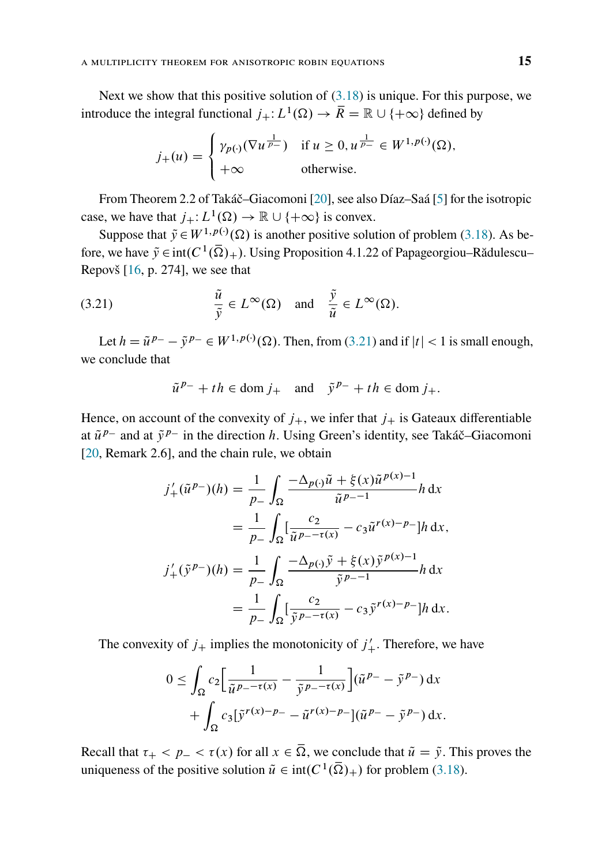Next we show that this positive solution of  $(3.18)$  is unique. For this purpose, we introduce the integral functional  $j_+$ :  $L^1(\Omega) \to \overline{R} = \mathbb{R} \cup \{+\infty\}$  defined by

$$
j_{+}(u) = \begin{cases} \gamma_{p(\cdot)}(\nabla u^{\frac{1}{p_{-}}}) & \text{if } u \ge 0, u^{\frac{1}{p_{-}}} \in W^{1, p(\cdot)}(\Omega), \\ +\infty & \text{otherwise.} \end{cases}
$$

From Theorem 2.2 of Takáč–Giacomoni [\[20\]](#page-21-4), see also Díaz–Saá [\[5\]](#page-20-10) for the isotropic case, we have that  $j_+$ :  $L^1(\Omega) \to \mathbb{R} \cup \{+\infty\}$  is convex.

Suppose that  $\tilde{y} \in W^{1,p(\cdot)}(\Omega)$  is another positive solution of problem [\(3.18\)](#page-13-0). As before, we have  $\tilde{y} \in \text{int}(C^1(\overline{\Omega})_+)$ . Using Proposition 4.1.22 of Papageorgiou–Rădulescu– Repovš [\[16,](#page-20-9) p. 274], we see that

(3.21) 
$$
\frac{\tilde{u}}{\tilde{y}} \in L^{\infty}(\Omega)
$$
 and  $\frac{\tilde{y}}{\tilde{u}} \in L^{\infty}(\Omega)$ .

Let  $h = \tilde{u}^{p-} - \tilde{y}^{p-} \in W^{1,p(\cdot)}(\Omega)$ . Then, from [\(3.21\)](#page-14-0) and if  $|t| < 1$  is small enough, we conclude that

<span id="page-14-0"></span>
$$
\tilde{u}^{p-} + th \in \text{dom } j_+ \quad \text{and} \quad \tilde{y}^{p-} + th \in \text{dom } j_+.
$$

Hence, on account of the convexity of  $j_+$ , we infer that  $j_+$  is Gateaux differentiable at  $\tilde{u}^{p-}$  and at  $\tilde{y}^{p-}$  in the direction h. Using Green's identity, see Takáč–Giacomoni [\[20,](#page-21-4) Remark 2.6], and the chain rule, we obtain

$$
j'_{+}(\tilde{u}^{p_{-}})(h) = \frac{1}{p_{-}} \int_{\Omega} \frac{-\Delta_{p(\cdot)}\tilde{u} + \xi(x)\tilde{u}^{p(x)-1}}{\tilde{u}^{p_{-}-1}} h \, dx
$$
  

$$
= \frac{1}{p_{-}} \int_{\Omega} \left[ \frac{c_{2}}{\tilde{u}^{p_{-}-\tau(x)}} - c_{3}\tilde{u}^{r(x)-p_{-}} \right] h \, dx,
$$
  

$$
j'_{+}(\tilde{y}^{p_{-}})(h) = \frac{1}{p_{-}} \int_{\Omega} \frac{-\Delta_{p(\cdot)}\tilde{y} + \xi(x)\tilde{y}^{p(x)-1}}{\tilde{y}^{p_{-}-1}} h \, dx
$$
  

$$
= \frac{1}{p_{-}} \int_{\Omega} \left[ \frac{c_{2}}{\tilde{y}^{p_{-}-\tau(x)}} - c_{3}\tilde{y}^{r(x)-p_{-}} \right] h \, dx.
$$

The convexity of  $j_+$  implies the monotonicity of  $j'_+$ . Therefore, we have

$$
0 \leq \int_{\Omega} c_2 \left[ \frac{1}{\tilde{u}^{p-1}} - \frac{1}{\tilde{y}^{p-1}} \right] (\tilde{u}^{p-1} - \tilde{y}^{p-1}) dx + \int_{\Omega} c_3 [\tilde{y}^{r(x)-p-1} - \tilde{u}^{r(x)-p-1}] (\tilde{u}^{p-1} - \tilde{y}^{p-1}) dx.
$$

Recall that  $\tau_+ < p_- < \tau(x)$  for all  $x \in \overline{\Omega}$ , we conclude that  $\tilde{u} = \tilde{y}$ . This proves the uniqueness of the positive solution  $\tilde{u} \in \text{int}(C^1(\overline{\Omega})_+)$  for problem [\(3.18\)](#page-13-0).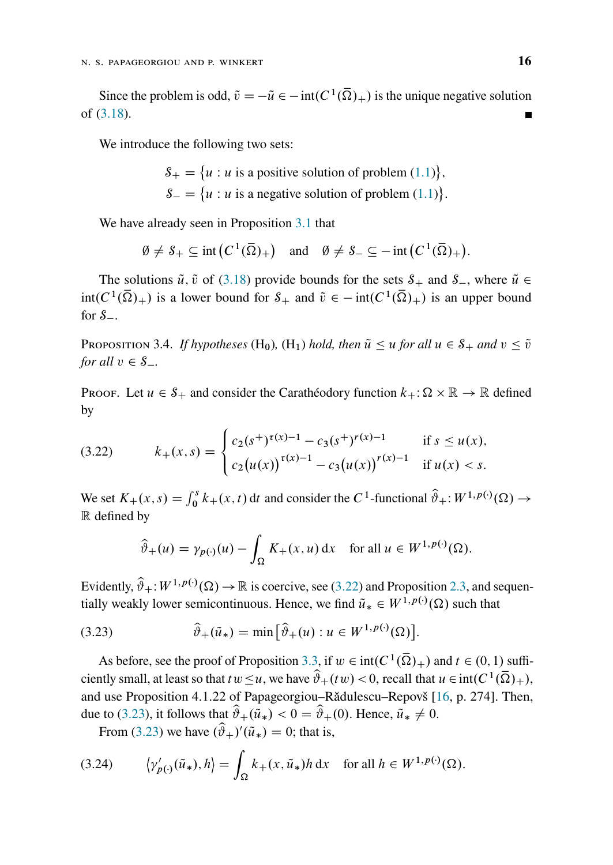Since the problem is odd,  $\tilde{v} = -\tilde{u} \in -\text{int}(C^1(\overline{\Omega})_+)$  is the unique negative solution of [\(3.18\)](#page-13-0).  $\blacksquare$ 

We introduce the following two sets:

 $S_+ = \{u : u \text{ is a positive solution of problem } (1.1)\},\$  $S_+ = \{u : u \text{ is a positive solution of problem } (1.1)\},\$  $S_+ = \{u : u \text{ is a positive solution of problem } (1.1)\},\$  $S_{-} = \{u : u \text{ is a negative solution of problem } (1.1)\}.$  $S_{-} = \{u : u \text{ is a negative solution of problem } (1.1)\}.$  $S_{-} = \{u : u \text{ is a negative solution of problem } (1.1)\}.$ 

We have already seen in Proposition [3.1](#page-8-1) that

$$
\emptyset \neq \mathcal{S}_+ \subseteq \text{int}\left(C^1(\overline{\Omega})_+\right) \quad \text{and} \quad \emptyset \neq \mathcal{S}_- \subseteq -\text{int}\left(C^1(\overline{\Omega})_+\right).
$$

The solutions  $\tilde{u}$ ,  $\tilde{v}$  of [\(3.18\)](#page-13-0) provide bounds for the sets  $S_+$  and  $S_-$ , where  $\tilde{u} \in$  $int(C^1(\overline{\Omega})_+)$  is a lower bound for  $S_+$  and  $\tilde{v} \in -int(C^1(\overline{\Omega})_+)$  is an upper bound for  $S_{-}$ .

<span id="page-15-3"></span>Proposition 3.4. *If hypotheses* (H<sub>0</sub>), (H<sub>1</sub>) *hold, then*  $\tilde{u} \le u$  *for all*  $u \in S_+$  *and*  $v \le \tilde{v}$ *for all*  $v \in S_$ .

Proof. Let  $u \in S_+$  and consider the Carathéodory function  $k_+ : \Omega \times \mathbb{R} \to \mathbb{R}$  defined by

<span id="page-15-0"></span>(3.22) 
$$
k_{+}(x,s) = \begin{cases} c_{2}(s^{+})^{\tau(x)-1} - c_{3}(s^{+})^{\tau(x)-1} & \text{if } s \leq u(x), \\ c_{2}(u(x))^{\tau(x)-1} - c_{3}(u(x))^{\tau(x)-1} & \text{if } u(x) < s. \end{cases}
$$

We set  $K_+(x, s) = \int_0^s k_+(x, t) dt$  and consider the C<sup>1</sup>-functional  $\hat{\vartheta}_+ : W^{1, p(\cdot)}(\Omega) \to$ R defined by

<span id="page-15-1"></span>
$$
\widehat{\vartheta}_+(u) = \gamma_{p(\cdot)}(u) - \int_{\Omega} K_+(x, u) \, dx \quad \text{for all } u \in W^{1, p(\cdot)}(\Omega).
$$

Evidently,  $\hat{\vartheta}_+$ :  $W^{1,p(\cdot)}(\Omega) \to \mathbb{R}$  is coercive, see [\(3.22\)](#page-15-0) and Proposition [2.3,](#page-6-0) and sequentially weakly lower semicontinuous. Hence, we find  $\tilde{u}_* \in W^{1,p(\cdot)}(\Omega)$  such that

(3.23) 
$$
\widehat{\vartheta}_{+}(\widetilde{u}_{*}) = \min \big[ \widehat{\vartheta}_{+}(u) : u \in W^{1, p(\cdot)}(\Omega) \big].
$$

As before, see the proof of Proposition [3.3,](#page-13-3) if  $w \in \text{int}(C^1(\overline{\Omega})_+)$  and  $t \in (0, 1)$  sufficiently small, at least so that  $tw \le u$ , we have  $\hat{\vartheta}_+(tw) < 0$ , recall that  $u \in \text{int}(C^1(\overline{\Omega})_+)$ , and use Proposition 4.1.22 of Papageorgiou–Rădulescu–Repovš [\[16,](#page-20-9) p. 274]. Then, due to [\(3.23\)](#page-15-1), it follows that  $\hat{\vartheta}_+(\tilde{u}_*) < 0 = \hat{\vartheta}_+(0)$ . Hence,  $\tilde{u}_* \neq 0$ .

<span id="page-15-2"></span>From [\(3.23\)](#page-15-1) we have  $(\hat{\theta}_+)'(\hat{u}_*) = 0$ ; that is,

(3.24) 
$$
\langle \gamma'_{p(\cdot)}(\tilde{u}_*), h \rangle = \int_{\Omega} k_+(x, \tilde{u}_*)h \, dx \quad \text{for all } h \in W^{1, p(\cdot)}(\Omega).
$$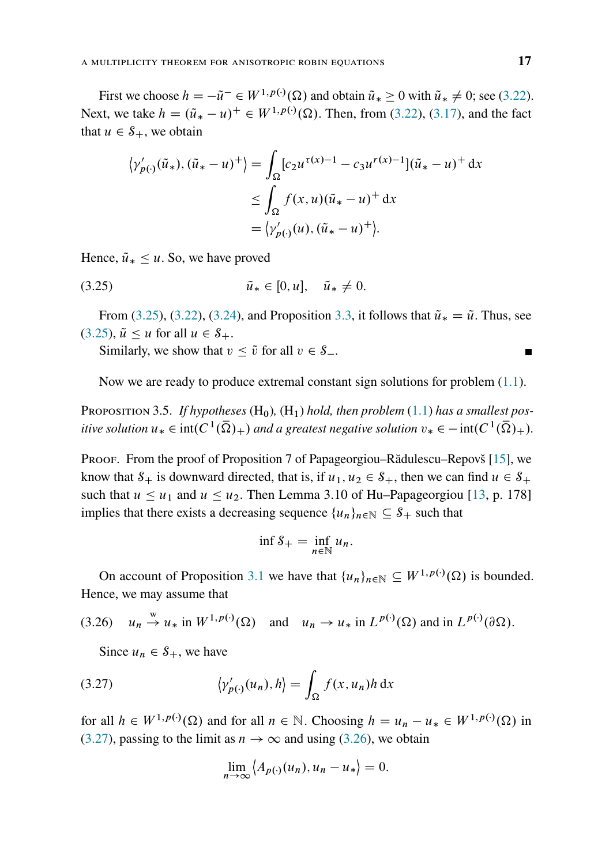First we choose  $h = -\tilde{u}^- \in W^{1,p(\cdot)}(\Omega)$  and obtain  $\tilde{u}_* \ge 0$  with  $\tilde{u}_* \ne 0$ ; see [\(3.22\)](#page-15-0). Next, we take  $h = (\tilde{u}_* - u)^+ \in W^{1, p(\cdot)}(\Omega)$ . Then, from [\(3.22\)](#page-15-0), [\(3.17\)](#page-12-5), and the fact that  $u \in S_+$ , we obtain

$$
\langle \gamma'_{p(\cdot)}(\tilde{u}_*), (\tilde{u}_* - u)^+ \rangle = \int_{\Omega} [c_2 u^{\tau(x)-1} - c_3 u^{r(x)-1}] (\tilde{u}_* - u)^+ dx
$$
  

$$
\leq \int_{\Omega} f(x, u) (\tilde{u}_* - u)^+ dx
$$
  

$$
= \langle \gamma'_{p(\cdot)}(u), (\tilde{u}_* - u)^+ \rangle.
$$

Hence,  $\tilde{u}_* \leq u$ . So, we have proved

(3.25) 
$$
\tilde{u}_* \in [0, u], \quad \tilde{u}_* \neq 0.
$$

From [\(3.25\)](#page-16-1), [\(3.22\)](#page-15-0), [\(3.24\)](#page-15-2), and Proposition [3.3,](#page-13-3) it follows that  $\tilde{u}_* = \tilde{u}$ . Thus, see  $(3.25), \tilde{u} \leq u$  $(3.25), \tilde{u} \leq u$  for all  $u \in S_+$ .

<span id="page-16-1"></span>Similarly, we show that  $v \leq \tilde{v}$  for all  $v \in S_-$ .

Now we are ready to produce extremal constant sign solutions for problem [\(1.1\)](#page-0-0).

<span id="page-16-0"></span>PROPOSITION 3.5. If hypotheses  $(H_0)$ ,  $(H_1)$  hold, then problem  $(1.1)$  has a smallest pos*itive solution*  $u_* \in \text{int}(C^1(\overline{\Omega})_+)$  and a greatest negative solution  $v_* \in -\text{int}(C^1(\overline{\Omega})_+)$ .

Proof. From the proof of Proposition 7 of Papageorgiou–Rădulescu–Repovš [\[15\]](#page-20-11), we know that  $S_+$  is downward directed, that is, if  $u_1, u_2 \in S_+$ , then we can find  $u \in S_+$ such that  $u \le u_1$  and  $u \le u_2$ . Then Lemma 3.10 of Hu–Papageorgiou [\[13,](#page-20-12) p. 178] implies that there exists a decreasing sequence  $\{u_n\}_{n\in\mathbb{N}}\subseteq S_+$  such that

$$
\inf S_+ = \inf_{n \in \mathbb{N}} u_n.
$$

On account of Proposition [3.1](#page-8-1) we have that  $\{u_n\}_{n\in\mathbb{N}} \subseteq W^{1,p(\cdot)}(\Omega)$  is bounded. Hence, we may assume that

<span id="page-16-3"></span>
$$
(3.26) \quad u_n \stackrel{w}{\to} u_* \text{ in } W^{1,p(\cdot)}(\Omega) \quad \text{and} \quad u_n \to u_* \text{ in } L^{p(\cdot)}(\Omega) \text{ and in } L^{p(\cdot)}(\partial \Omega).
$$

Since  $u_n \in S_+$ , we have

(3.27) 
$$
\langle \gamma'_{p(\cdot)}(u_n), h \rangle = \int_{\Omega} f(x, u_n) h \, dx
$$

for all  $h \in W^{1,p(\cdot)}(\Omega)$  and for all  $n \in \mathbb{N}$ . Choosing  $h = u_n - u_* \in W^{1,p(\cdot)}(\Omega)$  in [\(3.27\)](#page-16-2), passing to the limit as  $n \to \infty$  and using [\(3.26\)](#page-16-3), we obtain

<span id="page-16-2"></span>
$$
\lim_{n\to\infty}\left\langle A_{p(\cdot)}(u_n), u_n - u_*\right\rangle = 0.
$$

 $\blacksquare$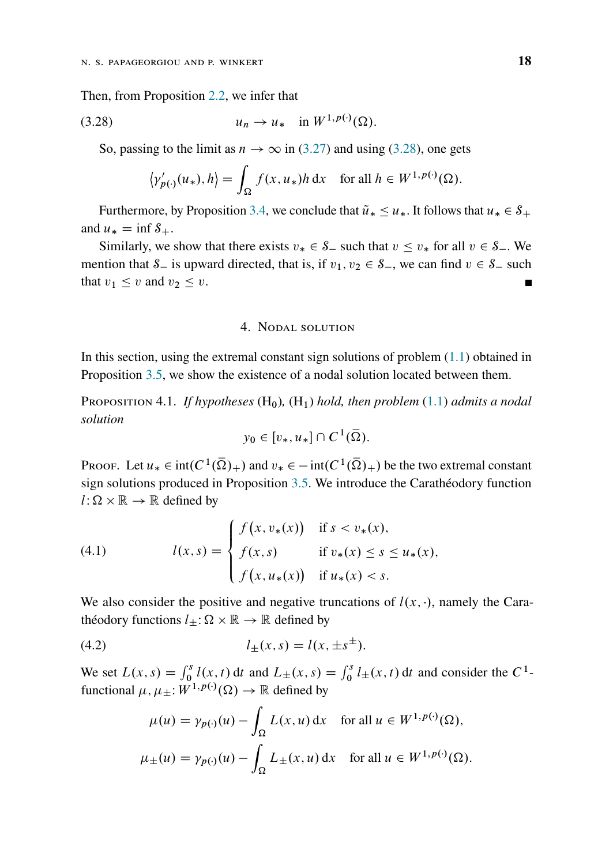Then, from Proposition [2.2,](#page-5-0) we infer that

$$
(3.28) \t\t u_n \to u_* \t \text{in } W^{1,p(\cdot)}(\Omega).
$$

So, passing to the limit as  $n \to \infty$  in [\(3.27\)](#page-16-2) and using [\(3.28\)](#page-17-2), one gets

<span id="page-17-2"></span>
$$
\left\langle \gamma'_{p(\cdot)}(u_*) , h \right\rangle = \int_{\Omega} f(x, u_*) h \, dx \quad \text{for all } h \in W^{1, p(\cdot)}(\Omega).
$$

Furthermore, by Proposition [3.4,](#page-15-3) we conclude that  $\tilde{u}_* \leq u_*$ . It follows that  $u_* \in S_+$ and  $u_* = \inf S_+$ .

Similarly, we show that there exists  $v_* \in S_-$  such that  $v \le v_*$  for all  $v \in S_-$ . We mention that  $S_$  is upward directed, that is, if  $v_1, v_2 \in S_$ , we can find  $v \in S_$  such that  $v_1 \leq v$  and  $v_2 \leq v$ .

# 4. Nodal solution

<span id="page-17-0"></span>In this section, using the extremal constant sign solutions of problem  $(1.1)$  obtained in Proposition [3.5,](#page-16-0) we show the existence of a nodal solution located between them.

<span id="page-17-1"></span>Proposition 4.1. *If hypotheses* (H0)*,* (H1) *hold, then problem* [\(1.1\)](#page-0-0) *admits a nodal solution*

$$
y_0\in [v_*,u_*]\cap C^1(\overline{\Omega}).
$$

Proof. Let  $u_* \in \text{int}(C^1(\overline{\Omega})_+)$  and  $v_* \in -\text{int}(C^1(\overline{\Omega})_+)$  be the two extremal constant sign solutions produced in Proposition [3.5.](#page-16-0) We introduce the Carathéodory function  $l : \Omega \times \mathbb{R} \to \mathbb{R}$  defined by

<span id="page-17-3"></span>(4.1) 
$$
l(x, s) = \begin{cases} f(x, v_*(x)) & \text{if } s < v_*(x), \\ f(x, s) & \text{if } v_*(x) \le s \le u_*(x), \\ f(x, u_*(x)) & \text{if } u_*(x) < s. \end{cases}
$$

We also consider the positive and negative truncations of  $l(x, \cdot)$ , namely the Carathéodory functions  $l_{\pm} : \Omega \times \mathbb{R} \to \mathbb{R}$  defined by

(4.2) 
$$
l_{\pm}(x,s) = l(x, \pm s^{\pm}).
$$

We set  $L(x, s) = \int_0^s l(x, t) dt$  and  $L_{\pm}(x, s) = \int_0^s l_{\pm}(x, t) dt$  and consider the  $C^1$ functional  $\mu, \mu_{\pm}: W^{1,p(\cdot)}(\Omega) \to \mathbb{R}$  defined by

<span id="page-17-4"></span>
$$
\mu(u) = \gamma_{p(\cdot)}(u) - \int_{\Omega} L(x, u) dx \quad \text{for all } u \in W^{1, p(\cdot)}(\Omega),
$$
  

$$
\mu_{\pm}(u) = \gamma_{p(\cdot)}(u) - \int_{\Omega} L_{\pm}(x, u) dx \quad \text{for all } u \in W^{1, p(\cdot)}(\Omega).
$$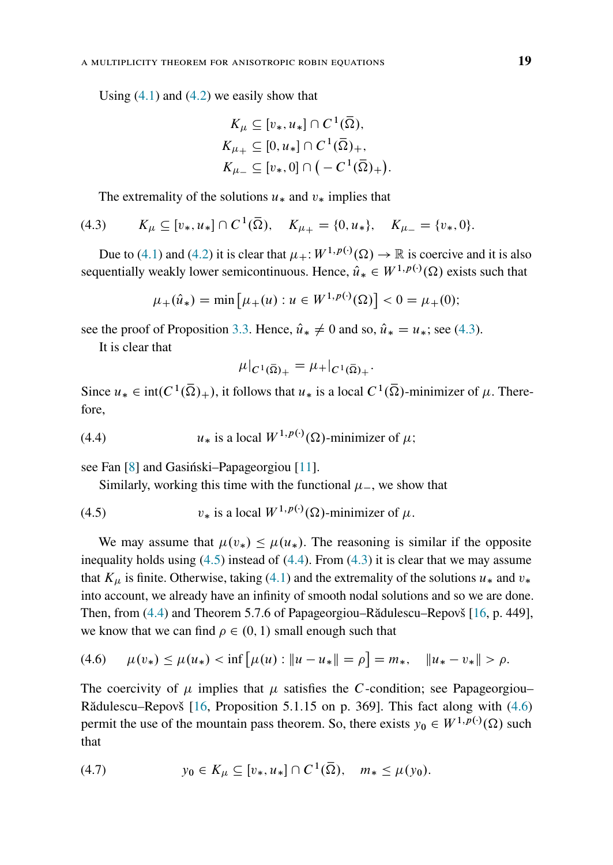Using  $(4.1)$  and  $(4.2)$  we easily show that

$$
K_{\mu} \subseteq [v_*, u_*] \cap C^1(\overline{\Omega}),
$$
  
\n
$$
K_{\mu_+} \subseteq [0, u_*] \cap C^1(\overline{\Omega})_+,
$$
  
\n
$$
K_{\mu_-} \subseteq [v_*, 0] \cap (-C^1(\overline{\Omega})_+).
$$

<span id="page-18-0"></span>The extremality of the solutions  $u_*$  and  $v_*$  implies that

(4.3) 
$$
K_{\mu} \subseteq [v_*, u_*] \cap C^1(\overline{\Omega}), \quad K_{\mu_+} = \{0, u_*\}, \quad K_{\mu_-} = \{v_*, 0\}.
$$

Due to [\(4.1\)](#page-17-3) and [\(4.2\)](#page-17-4) it is clear that  $\mu_+$ :  $W^{1,p(\cdot)}(\Omega) \to \mathbb{R}$  is coercive and it is also sequentially weakly lower semicontinuous. Hence,  $\hat{u}_* \in W^{1,p(\cdot)}(\Omega)$  exists such that

$$
\mu_+(\hat{u}_*) = \min \left[ \mu_+(u) : u \in W^{1,p(\cdot)}(\Omega) \right] < 0 = \mu_+(0);
$$

see the proof of Proposition [3.3.](#page-13-3) Hence,  $\hat{u}_* \neq 0$  and so,  $\hat{u}_* = u_*$ ; see [\(4.3\)](#page-18-0).

It is clear that

<span id="page-18-2"></span>
$$
\mu|_{C^1(\bar{\Omega})_+} = \mu_+|_{C^1(\bar{\Omega})_+}.
$$

Since  $u_* \in \text{int}(C^1(\overline{\Omega})_+)$ , it follows that  $u_*$  is a local  $C^1(\overline{\Omega})$ -minimizer of  $\mu$ . Therefore,

(4.4) 
$$
u_* \text{ is a local } W^{1,p(\cdot)}(\Omega) \text{-minimizer of } \mu;
$$

see Fan [\[8\]](#page-20-8) and Gasiński–Papageorgiou [\[11\]](#page-20-2).

<span id="page-18-1"></span>Similarly, working this time with the functional  $\mu$ , we show that

(4.5) 
$$
v_* \text{ is a local } W^{1,p(\cdot)}(\Omega) \text{-minimizer of } \mu.
$$

We may assume that  $\mu(v_*) \leq \mu(u_*)$ . The reasoning is similar if the opposite inequality holds using  $(4.5)$  instead of  $(4.4)$ . From  $(4.3)$  it is clear that we may assume that  $K_{\mu}$  is finite. Otherwise, taking [\(4.1\)](#page-17-3) and the extremality of the solutions  $u_*$  and  $v_*$ into account, we already have an infinity of smooth nodal solutions and so we are done. Then, from [\(4.4\)](#page-18-2) and Theorem 5.7.6 of Papageorgiou–Rădulescu–Repovš [\[16,](#page-20-9) p. 449], we know that we can find  $\rho \in (0, 1)$  small enough such that

<span id="page-18-3"></span>(4.6) 
$$
\mu(v_*) \le \mu(u_*) < \inf \big[ \mu(u) : \|u - u_*\| = \rho \big] = m_*, \quad \|u_* - v_*\| > \rho.
$$

The coercivity of  $\mu$  implies that  $\mu$  satisfies the C-condition; see Papageorgiou– Rădulescu–Repovš [\[16,](#page-20-9) Proposition 5.1.15 on p. 369]. This fact along with [\(4.6\)](#page-18-3) permit the use of the mountain pass theorem. So, there exists  $y_0 \in W^{1,p(\cdot)}(\Omega)$  such that

<span id="page-18-4"></span>(4.7) 
$$
y_0 \in K_\mu \subseteq [v_*, u_*] \cap C^1(\overline{\Omega}), \quad m_* \le \mu(y_0).
$$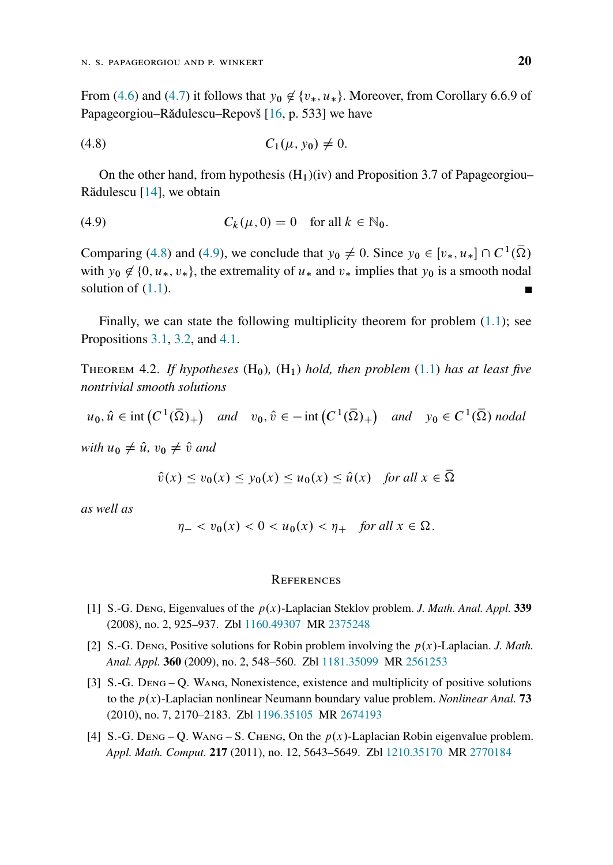From [\(4.6\)](#page-18-3) and [\(4.7\)](#page-18-4) it follows that  $y_0 \notin \{v_*, u_*\}$ . Moreover, from Corollary 6.6.9 of Papageorgiou–Rădulescu–Repovš [\[16,](#page-20-9) p. 533] we have

<span id="page-19-5"></span>(4.8) 
$$
C_1(\mu, y_0) \neq 0.
$$

On the other hand, from hypothesis  $(H_1)(iv)$  and Proposition 3.7 of Papageorgiou– Rădulescu [\[14\]](#page-20-13), we obtain

<span id="page-19-6"></span>(4.9) 
$$
C_k(\mu,0)=0 \text{ for all } k \in \mathbb{N}_0.
$$

Comparing [\(4.8\)](#page-19-5) and [\(4.9\)](#page-19-6), we conclude that  $y_0 \neq 0$ . Since  $y_0 \in [v_*, u_*] \cap C^1(\overline{\Omega})$ with  $y_0 \notin \{0, u_*, v_*\}$ , the extremality of  $u_*$  and  $v_*$  implies that  $y_0$  is a smooth nodal solution of  $(1.1)$ .

Finally, we can state the following multiplicity theorem for problem [\(1.1\)](#page-0-0); see Propositions [3.1,](#page-8-1) [3.2,](#page-10-0) and [4.1.](#page-17-1)

<span id="page-19-4"></span>THEOREM 4.2. If hypotheses  $(H_0)$ ,  $(H_1)$  hold, then problem  $(1.1)$  has at least five *nontrivial smooth solutions*

 $u_0, \hat{u} \in \text{int}\left(C^1(\overline{\Omega})_+\right)$  and  $v_0, \hat{v} \in -\text{int}\left(C^1(\overline{\Omega})_+\right)$  and  $y_0 \in C^1(\overline{\Omega})$  nodal

*with*  $u_0 \neq \hat{u}$ ,  $v_0 \neq \hat{v}$  *and* 

$$
\hat{v}(x) \le v_0(x) \le y_0(x) \le u_0(x) \le \hat{u}(x) \quad \text{for all } x \in \overline{\Omega}
$$

*as well as*

$$
\eta_- < v_0(x) < 0 < u_0(x) < \eta_+ \quad \text{for all } x \in \Omega.
$$

#### **REFERENCES**

- <span id="page-19-2"></span>[1] S.-G. Deng, Eigenvalues of the  $p(x)$ -Laplacian Steklov problem. *J. Math. Anal. Appl.* **339** (2008), no. 2, 925–937. Zbl [1160.49307](https://zbmath.org/?q=an:1160.49307&format=complete) MR [2375248](https://mathscinet.ams.org/mathscinet-getitem?mr=2375248)
- <span id="page-19-0"></span>[2] S.-G. Deng, Positive solutions for Robin problem involving the  $p(x)$ -Laplacian. *J. Math. Anal. Appl.* **360** (2009), no. 2, 548–560. Zbl [1181.35099](https://zbmath.org/?q=an:1181.35099&format=complete) MR [2561253](https://mathscinet.ams.org/mathscinet-getitem?mr=2561253)
- <span id="page-19-1"></span>[3] S.-G. Deng – Q. Wang, Nonexistence, existence and multiplicity of positive solutions to the  $p(x)$ -Laplacian nonlinear Neumann boundary value problem. *Nonlinear Anal.* **73** (2010), no. 7, 2170–2183. Zbl [1196.35105](https://zbmath.org/?q=an:1196.35105&format=complete) MR [2674193](https://mathscinet.ams.org/mathscinet-getitem?mr=2674193)
- <span id="page-19-3"></span>[4] S.-G. Deng – Q. WANG – S. CHENG, On the  $p(x)$ -Laplacian Robin eigenvalue problem. *Appl. Math. Comput.* **217** (2011), no. 12, 5643–5649. Zbl [1210.35170](https://zbmath.org/?q=an:1210.35170&format=complete) MR [2770184](https://mathscinet.ams.org/mathscinet-getitem?mr=2770184)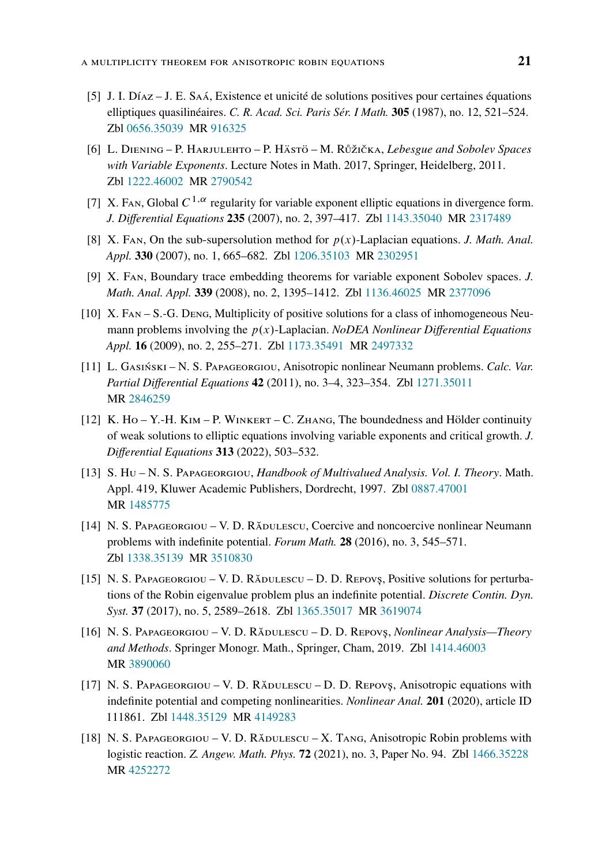- <span id="page-20-10"></span>[5] J. I. Díaz – J. E. Saá, Existence et unicité de solutions positives pour certaines équations elliptiques quasilinéaires. *C. R. Acad. Sci. Paris Sér. I Math.* **305** (1987), no. 12, 521–524. Zbl [0656.35039](https://zbmath.org/?q=an:0656.35039&format=complete) MR [916325](https://mathscinet.ams.org/mathscinet-getitem?mr=916325)
- <span id="page-20-0"></span>[6] L. Diening – P. Harjulehto – P. Hästö – M. Růžička, *Lebesgue and Sobolev Spaces with Variable Exponents*. Lecture Notes in Math. 2017, Springer, Heidelberg, 2011. Zbl [1222.46002](https://zbmath.org/?q=an:1222.46002&format=complete) MR [2790542](https://mathscinet.ams.org/mathscinet-getitem?mr=2790542)
- <span id="page-20-5"></span>[7] X. FAN, Global  $C^{1,\alpha}$  regularity for variable exponent elliptic equations in divergence form. *J. Differential Equations* **235** (2007), no. 2, 397–417. Zbl [1143.35040](https://zbmath.org/?q=an:1143.35040&format=complete) MR [2317489](https://mathscinet.ams.org/mathscinet-getitem?mr=2317489)
- <span id="page-20-8"></span>[8] X. Fan, On the sub-supersolution method for  $p(x)$ -Laplacian equations. *J. Math. Anal. Appl.* **330** (2007), no. 1, 665–682. Zbl [1206.35103](https://zbmath.org/?q=an:1206.35103&format=complete) MR [2302951](https://mathscinet.ams.org/mathscinet-getitem?mr=2302951)
- <span id="page-20-4"></span>[9] X. Fan, Boundary trace embedding theorems for variable exponent Sobolev spaces. *J. Math. Anal. Appl.* **339** (2008), no. 2, 1395–1412. Zbl [1136.46025](https://zbmath.org/?q=an:1136.46025&format=complete) MR [2377096](https://mathscinet.ams.org/mathscinet-getitem?mr=2377096)
- <span id="page-20-1"></span>[10] X. Fan – S.-G. Deng, Multiplicity of positive solutions for a class of inhomogeneous Neumann problems involving the  $p(x)$ -Laplacian. *NoDEA Nonlinear Differential Equations Appl.* **16** (2009), no. 2, 255–271. Zbl [1173.35491](https://zbmath.org/?q=an:1173.35491&format=complete) MR [2497332](https://mathscinet.ams.org/mathscinet-getitem?mr=2497332)
- <span id="page-20-2"></span>[11] L. Gasiński – N. S. Papageorgiou, Anisotropic nonlinear Neumann problems. *Calc. Var. Partial Differential Equations* **42** (2011), no. 3–4, 323–354. Zbl [1271.35011](https://zbmath.org/?q=an:1271.35011&format=complete) MR [2846259](https://mathscinet.ams.org/mathscinet-getitem?mr=2846259)
- <span id="page-20-7"></span>[12] K. Ho – Y.-H. Kim – P. Winkert – C. Zhang, The boundedness and Hölder continuity of weak solutions to elliptic equations involving variable exponents and critical growth. *J. Differential Equations* **313** (2022), 503–532.
- <span id="page-20-12"></span>[13] S. Hu – N. S. Papageorgiou, *Handbook of Multivalued Analysis. Vol. I. Theory*. Math. Appl. 419, Kluwer Academic Publishers, Dordrecht, 1997. Zbl [0887.47001](https://zbmath.org/?q=an:0887.47001&format=complete) MR [1485775](https://mathscinet.ams.org/mathscinet-getitem?mr=1485775)
- <span id="page-20-13"></span>[14] N. S. PAPAGEORGIOU – V. D. RĂDULESCU, Coercive and noncoercive nonlinear Neumann problems with indefinite potential. *Forum Math.* **28** (2016), no. 3, 545–571. Zbl [1338.35139](https://zbmath.org/?q=an:1338.35139&format=complete) MR [3510830](https://mathscinet.ams.org/mathscinet-getitem?mr=3510830)
- <span id="page-20-11"></span>[15] N. S. Papageorgiou – V. D. Rădulescu – D. D. Repovs, Positive solutions for perturbations of the Robin eigenvalue problem plus an indefinite potential. *Discrete Contin. Dyn. Syst.* **37** (2017), no. 5, 2589–2618. Zbl [1365.35017](https://zbmath.org/?q=an:1365.35017&format=complete) MR [3619074](https://mathscinet.ams.org/mathscinet-getitem?mr=3619074)
- <span id="page-20-9"></span>[16] N. S. Papageorgiou – V. D. Rădulescu – D. D. Repovš, *Nonlinear Analysis—Theory and Methods*. Springer Monogr. Math., Springer, Cham, 2019. Zbl [1414.46003](https://zbmath.org/?q=an:1414.46003&format=complete) MR [3890060](https://mathscinet.ams.org/mathscinet-getitem?mr=3890060)
- <span id="page-20-6"></span> $[17]$  N. S. Papageorgiou – V. D. Rădulescu – D. D. Repovs, Anisotropic equations with indefinite potential and competing nonlinearities. *Nonlinear Anal.* **201** (2020), article ID 111861. Zbl [1448.35129](https://zbmath.org/?q=an:1448.35129&format=complete) MR [4149283](https://mathscinet.ams.org/mathscinet-getitem?mr=4149283)
- <span id="page-20-3"></span>[18] N. S. Papageorgiou – V. D. Rădulescu – X. Tang, Anisotropic Robin problems with logistic reaction. *Z. Angew. Math. Phys.* **72** (2021), no. 3, Paper No. 94. Zbl [1466.35228](https://zbmath.org/?q=an:1466.35228&format=complete) MR [4252272](https://mathscinet.ams.org/mathscinet-getitem?mr=4252272)